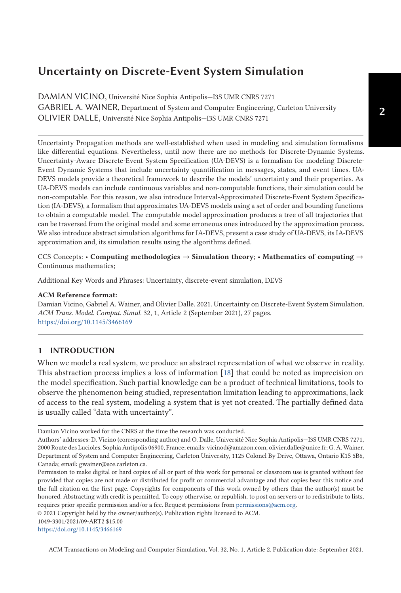DAMIAN VICINO, Université Nice Sophia Antipolis—I3S UMR CNRS 7271 GABRIEL A. WAINER, Department of System and Computer Engineering, Carleton University OLIVIER DALLE, Université Nice Sophia Antipolis—I3S UMR CNRS 7271

Uncertainty Propagation methods are well-established when used in modeling and simulation formalisms like differential equations. Nevertheless, until now there are no methods for Discrete-Dynamic Systems. Uncertainty-Aware Discrete-Event System Specification (UA-DEVS) is a formalism for modeling Discrete-Event Dynamic Systems that include uncertainty quantification in messages, states, and event times. UA-DEVS models provide a theoretical framework to describe the models' uncertainty and their properties. As UA-DEVS models can include continuous variables and non-computable functions, their simulation could be non-computable. For this reason, we also introduce Interval-Approximated Discrete-Event System Specification (IA-DEVS), a formalism that approximates UA-DEVS models using a set of order and bounding functions to obtain a computable model. The computable model approximation produces a tree of all trajectories that can be traversed from the original model and some erroneous ones introduced by the approximation process. We also introduce abstract simulation algorithms for IA-DEVS, present a case study of UA-DEVS, its IA-DEVS approximation and, its simulation results using the algorithms defined.

CCS Concepts: • **Computing methodologies** → **Simulation theory**; • **Mathematics of computing** → Continuous mathematics;

Additional Key Words and Phrases: Uncertainty, discrete-event simulation, DEVS

#### **ACM Reference format:**

Damian Vicino, Gabriel A. Wainer, and Olivier Dalle. 2021. Uncertainty on Discrete-Event System Simulation. *ACM Trans. Model. Comput. Simul.* 32, 1, Article 2 (September 2021), 27 pages. <https://doi.org/10.1145/3466169>

# **1 INTRODUCTION**

When we model a real system, we produce an abstract representation of what we observe in reality. This abstraction process implies a loss of information [\[18\]](#page-26-0) that could be noted as imprecision on the model specification. Such partial knowledge can be a product of technical limitations, tools to observe the phenomenon being studied, representation limitation leading to approximations, lack of access to the real system, modeling a system that is yet not created. The partially defined data is usually called "data with uncertainty".

© 2021 Copyright held by the owner/author(s). Publication rights licensed to ACM.

1049-3301/2021/09-ART2 \$15.00 <https://doi.org/10.1145/3466169>

Damian Vicino worked for the CNRS at the time the research was conducted.

Authors' addresses: D. Vicino (corresponding author) and O. Dalle, Université Nice Sophia Antipolis—I3S UMR CNRS 7271, 2000 Route des Lucioles, Sophia Antipolis 06900, France; emails: vicinod@amazon.com, olivier.dalle@unice.fr; G. A. Wainer, Department of System and Computer Engineering, Carleton University, 1125 Colonel By Drive, Ottawa, Ontario K1S 5B6, Canada; email: gwainer@sce.carleton.ca.

Permission to make digital or hard copies of all or part of this work for personal or classroom use is granted without fee provided that copies are not made or distributed for profit or commercial advantage and that copies bear this notice and the full citation on the first page. Copyrights for components of this work owned by others than the author(s) must be honored. Abstracting with credit is permitted. To copy otherwise, or republish, to post on servers or to redistribute to lists, requires prior specific permission and/or a fee. Request permissions from [permissions@acm.org.](mailto:permissions@acm.org)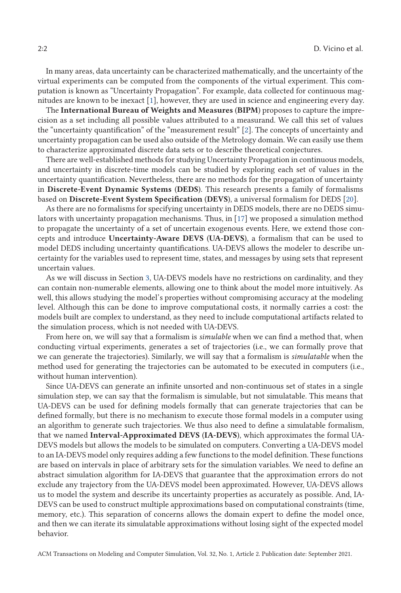In many areas, data uncertainty can be characterized mathematically, and the uncertainty of the virtual experiments can be computed from the components of the virtual experiment. This computation is known as "Uncertainty Propagation". For example, data collected for continuous magnitudes are known to be inexact [\[1\]](#page-26-0), however, they are used in science and engineering every day.

The **International Bureau of Weights and Measures** (**BIPM**) proposes to capture the imprecision as a set including all possible values attributed to a measurand. We call this set of values the "uncertainty quantification" of the "measurement result" [\[2\]](#page-26-0). The concepts of uncertainty and uncertainty propagation can be used also outside of the Metrology domain. We can easily use them to characterize approximated discrete data sets or to describe theoretical conjectures.

There are well-established methods for studying Uncertainty Propagation in continuous models, and uncertainty in discrete-time models can be studied by exploring each set of values in the uncertainty quantification. Nevertheless, there are no methods for the propagation of uncertainty in **Discrete-Event Dynamic Systems** (**DEDS**). This research presents a family of formalisms based on **Discrete-Event System Specification** (**DEVS**), a universal formalism for DEDS [\[20\]](#page-26-0).

As there are no formalisms for specifying uncertainty in DEDS models, there are no DEDS simulators with uncertainty propagation mechanisms. Thus, in [\[17\]](#page-26-0) we proposed a simulation method to propagate the uncertainty of a set of uncertain exogenous events. Here, we extend those concepts and introduce **Uncertainty-Aware DEVS** (**UA-DEVS**), a formalism that can be used to model DEDS including uncertainty quantifications. UA-DEVS allows the modeler to describe uncertainty for the variables used to represent time, states, and messages by using sets that represent uncertain values.

As we will discuss in Section [3,](#page-7-0) UA-DEVS models have no restrictions on cardinality, and they can contain non-numerable elements, allowing one to think about the model more intuitively. As well, this allows studying the model's properties without compromising accuracy at the modeling level. Although this can be done to improve computational costs, it normally carries a cost: the models built are complex to understand, as they need to include computational artifacts related to the simulation process, which is not needed with UA-DEVS.

From here on, we will say that a formalism is *simulable* when we can find a method that, when conducting virtual experiments, generates a set of trajectories (i.e., we can formally prove that we can generate the trajectories). Similarly, we will say that a formalism is *simulatable* when the method used for generating the trajectories can be automated to be executed in computers (i.e., without human intervention).

Since UA-DEVS can generate an infinite unsorted and non-continuous set of states in a single simulation step, we can say that the formalism is simulable, but not simulatable. This means that UA-DEVS can be used for defining models formally that can generate trajectories that can be defined formally, but there is no mechanism to execute those formal models in a computer using an algorithm to generate such trajectories. We thus also need to define a simulatable formalism, that we named **Interval-Approximated DEVS** (**IA-DEVS**), which approximates the formal UA-DEVS models but allows the models to be simulated on computers. Converting a UA-DEVS model to an IA-DEVS model only requires adding a few functions to the model definition. These functions are based on intervals in place of arbitrary sets for the simulation variables. We need to define an abstract simulation algorithm for IA-DEVS that guarantee that the approximation errors do not exclude any trajectory from the UA-DEVS model been approximated. However, UA-DEVS allows us to model the system and describe its uncertainty properties as accurately as possible. And, IA-DEVS can be used to construct multiple approximations based on computational constraints (time, memory, etc.). This separation of concerns allows the domain expert to define the model once, and then we can iterate its simulatable approximations without losing sight of the expected model behavior.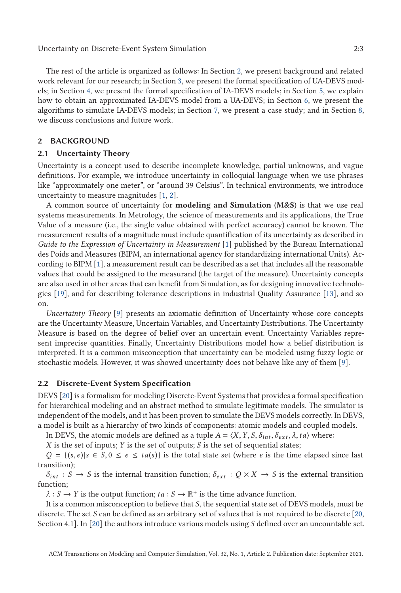<span id="page-2-0"></span>The rest of the article is organized as follows: In Section 2, we present background and related work relevant for our research; in Section [3,](#page-7-0) we present the formal specification of UA-DEVS models; in Section [4,](#page-10-0) we present the formal specification of IA-DEVS models; in Section [5,](#page-14-0) we explain how to obtain an approximated IA-DEVS model from a UA-DEVS; in Section [6,](#page-16-0) we present the algorithms to simulate IA-DEVS models; in Section [7,](#page-21-0) we present a case study; and in Section [8,](#page-25-0) we discuss conclusions and future work.

# **2 BACKGROUND**

#### **2.1 Uncertainty Theory**

Uncertainty is a concept used to describe incomplete knowledge, partial unknowns, and vague definitions. For example, we introduce uncertainty in colloquial language when we use phrases like "approximately one meter", or "around 39 Celsius". In technical environments, we introduce uncertainty to measure magnitudes [\[1,](#page-26-0) [2\]](#page-26-0).

A common source of uncertainty for **modeling and Simulation** (**M&S**) is that we use real systems measurements. In Metrology, the science of measurements and its applications, the True Value of a measure (i.e., the single value obtained with perfect accuracy) cannot be known. The measurement results of a magnitude must include quantification of its uncertainty as described in *Guide to the Expression of Uncertainty in Measurement* [\[1\]](#page-26-0) published by the Bureau International des Poids and Measures (BIPM, an international agency for standardizing international Units). According to BIPM [\[1\]](#page-26-0), a measurement result can be described as a set that includes all the reasonable values that could be assigned to the measurand (the target of the measure). Uncertainty concepts are also used in other areas that can benefit from Simulation, as for designing innovative technologies [\[19\]](#page-26-0), and for describing tolerance descriptions in industrial Quality Assurance [\[13\]](#page-26-0), and so on.

*Uncertainty Theory* [\[9\]](#page-26-0) presents an axiomatic definition of Uncertainty whose core concepts are the Uncertainty Measure, Uncertain Variables, and Uncertainty Distributions. The Uncertainty Measure is based on the degree of belief over an uncertain event. Uncertainty Variables represent imprecise quantities. Finally, Uncertainty Distributions model how a belief distribution is interpreted. It is a common misconception that uncertainty can be modeled using fuzzy logic or stochastic models. However, it was showed uncertainty does not behave like any of them [\[9\]](#page-26-0).

#### **2.2 Discrete-Event System Specification**

DEVS [\[20\]](#page-26-0) is a formalism for modeling Discrete-Event Systems that provides a formal specification for hierarchical modeling and an abstract method to simulate legitimate models. The simulator is independent of the models, and it has been proven to simulate the DEVS models correctly. In DEVS, a model is built as a hierarchy of two kinds of components: atomic models and coupled models.

In DEVS, the atomic models are defined as a tuple  $A = \langle X, Y, S, \delta_{int}, \delta_{ext}, \lambda, ta \rangle$  where:

*X* is the set of inputs; *Y* is the set of outputs; *S* is the set of sequential states;

 $Q = \{(s, e) | s \in S, 0 \le e \le ta(s)\}\$  is the total state set (where *e* is the time elapsed since last transition);

 $\delta_{int}: S \to S$  is the internal transition function;  $\delta_{ext}: Q \times X \to S$  is the external transition function;

 $\lambda$  : *S*  $\rightarrow$  *Y* is the output function; *ta* : *S*  $\rightarrow$   $\mathbb{R}^+$  is the time advance function.

It is a common misconception to believe that *S*, the sequential state set of DEVS models, must be discrete. The set *S* can be defined as an arbitrary set of values that is not required to be discrete [\[20,](#page-26-0) Section 4.1]. In [\[20\]](#page-26-0) the authors introduce various models using *S* defined over an uncountable set.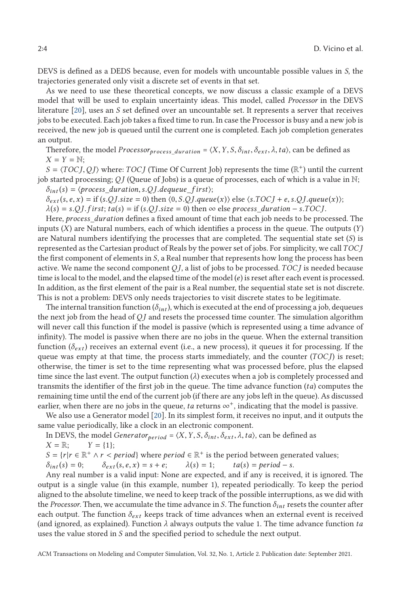DEVS is defined as a DEDS because, even for models with uncountable possible values in *S*, the trajectories generated only visit a discrete set of events in that set.

As we need to use these theoretical concepts, we now discuss a classic example of a DEVS model that will be used to explain uncertainty ideas. This model, called *Processor* in the DEVS literature [\[20\]](#page-26-0), uses an *S* set defined over an uncountable set. It represents a server that receives jobs to be executed. Each job takes a fixed time to run. In case the Processor is busy and a new job is received, the new job is queued until the current one is completed. Each job completion generates an output.

Therefore, the model *Processor*<sub>process\_duration</sub> =  $\langle X, Y, S, \delta_{int}, \delta_{ext}, \lambda, ta \rangle$ , can be defined as  $X = Y = N$ ;

 $S = \langle TOCJ, QJ \rangle$  where: *TOCJ* (Time Of Current Job) represents the time ( $\mathbb{R}^+$ ) until the current job started processing; *Q J* (Queue of Jobs) is a queue of processes, each of which is a value in N;  $\delta_{int}(s) = \langle$ *process duration*, *s*.*Q J*.*dequeue f irst*;

 $\delta_{ext}(s, e, x) = \text{if } (s. QJ.size = 0) \text{ then } (0, S.OJ. queue(x)) \text{ else } (s. TOCJ + e, s. QJ. queue(x))$ ;

 $\lambda(s) = s \cdot QJ \cdot f \text{irst}$ ;  $ta(s) = \text{if } (s \cdot QJ \cdot size = 0)$  then ∞ else *process\_duration* − *s*.*TOCI*.

Here, *process*\_*duration* defines a fixed amount of time that each job needs to be processed. The inputs (*X*) are Natural numbers, each of which identifies a process in the queue. The outputs (*Y*) are Natural numbers identifying the processes that are completed. The sequential state set (*S*) is represented as the Cartesian product of Reals by the power set of jobs. For simplicity, we call*TOC J* the first component of elements in *S*, a Real number that represents how long the process has been active. We name the second component *Q J*, a list of jobs to be processed. *TOC J* is needed because time is local to the model, and the elapsed time of the model (*e*) is reset after each event is processed. In addition, as the first element of the pair is a Real number, the sequential state set is not discrete. This is not a problem: DEVS only needs trajectories to visit discrete states to be legitimate.

The internal transition function  $(\delta_{int})$ , which is executed at the end of processing a job, dequeues the next job from the head of *Q J* and resets the processed time counter. The simulation algorithm will never call this function if the model is passive (which is represented using a time advance of infinity). The model is passive when there are no jobs in the queue. When the external transition function  $(\delta_{ext})$  receives an external event (i.e., a new process), it queues it for processing. If the queue was empty at that time, the process starts immediately, and the counter (*TOC J*) is reset; otherwise, the timer is set to the time representing what was processed before, plus the elapsed time since the last event. The output function  $(\lambda)$  executes when a job is completely processed and transmits the identifier of the first job in the queue. The time advance function (*ta*) computes the remaining time until the end of the current job (if there are any jobs left in the queue). As discussed earlier, when there are no jobs in the queue, *ta* returns  $\infty^+$ , indicating that the model is passive.

We also use a Generator model [\[20\]](#page-26-0). In its simplest form, it receives no input, and it outputs the same value periodically, like a clock in an electronic component.

In DEVS, the model *Generator*<sub>*period*</sub> =  $\langle X, Y, S, \delta_{int}, \delta_{ext}, \lambda, ta \rangle$ , can be defined as  $X = \mathbb{R}$ ;  $Y = \{1\}$ ;  $Y = \{1\};$ 

*S* = {*r*|*r* ∈  $\mathbb{R}^+$  ∧ *r* < *period*} where *period* ∈  $\mathbb{R}^+$  is the period between generated values;<br>  $\delta_{int}(s) = 0$ ;  $\delta_{ext}(s, e, x) = s + e$ ;  $\lambda(s) = 1$ ;  $ta(s) = period - s$ .

 $\delta_{int}(s) = 0;$   $\delta_{ext}(s, e, x) = s + e;$   $\lambda(s) = 1;$   $ta(s) = period - s.$ <br>Any real number is a valid input: None are expected, and if any is received, it is ignored. The output is a single value (in this example, number 1), repeated periodically. To keep the period aligned to the absolute timeline, we need to keep track of the possible interruptions, as we did with the *Processor*. Then, we accumulate the time advance in *S*. The function  $\delta_{int}$  resets the counter after each output. The function *δext* keeps track of time advances when an external event is received (and ignored, as explained). Function *λ* always outputs the value 1. The time advance function *ta* uses the value stored in *S* and the specified period to schedule the next output.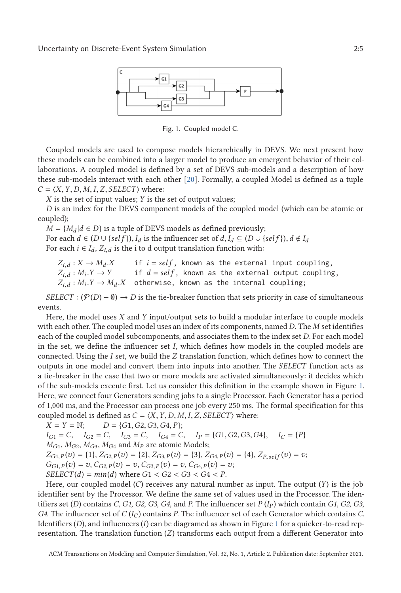<span id="page-4-0"></span>

Fig. 1. Coupled model C.

Coupled models are used to compose models hierarchically in DEVS. We next present how these models can be combined into a larger model to produce an emergent behavior of their collaborations. A coupled model is defined by a set of DEVS sub-models and a description of how these sub-models interact with each other [\[20\]](#page-26-0). Formally, a coupled Model is defined as a tuple  $C = \langle X, Y, D, M, I, Z, SELECT \rangle$  where:

*X* is the set of input values; *Y* is the set of output values;

*D* is an index for the DEVS component models of the coupled model (which can be atomic or coupled);

 $M = \{M_d | d \in D\}$  is a tuple of DEVS models as defined previously;

For each  $d \in (D \cup \{self\}), I_d$  is the influencer set of  $d, I_d \subseteq (D \cup \{self\}), d \notin I_d$ <br>For each  $i \in I$ ,  $Z_i$ , is the *i* to d output translation function with For each  $i \in I_d$ ,  $Z_{i,d}$  is the i to d output translation function with:

 $Z_i$ ,  $d: X \rightarrow M_d$ .*X*  $Z_{i,d}: M_i.Y \to Y$  $Z_{i,d}: M_i.Y \to M_d.X$  otherwise, known as the internal coupling; if  $i = self$ , known as the external input coupling, if  $d = self$ , known as the external output coupling,

*SELECT* :  $(\mathcal{P}(D) - \emptyset) \rightarrow D$  is the tie-breaker function that sets priority in case of simultaneous events.

Here, the model uses *X* and *Y* input/output sets to build a modular interface to couple models with each other. The coupled model uses an index of its components, named *D*. The *M* set identifies each of the coupled model subcomponents, and associates them to the index set *D*. For each model in the set, we define the influencer set *I*, which defines how models in the coupled models are connected. Using the *I* set, we build the *Z* translation function, which defines how to connect the outputs in one model and convert them into inputs into another. The *SELECT* function acts as a tie-breaker in the case that two or more models are activated simultaneously: it decides which of the sub-models execute first. Let us consider this definition in the example shown in Figure 1. Here, we connect four Generators sending jobs to a single Processor. Each Generator has a period of 1,000 ms, and the Processor can process one job every 250 ms. The formal specification for this coupled model is defined as  $C = \langle X, Y, D, M, I, Z, SELECT \rangle$  where:<br> $X = Y = \mathbb{N};$   $D = \{G1, G2, G3, G4, P\};$ 

 $X = Y = N;$   $D = \{G1, G2, G3, G4, P\};$ <br> $I_{C} = C, I_{C} = C, I_{C} = C, I_{C} = C$  $I_{G1} = C$ ,  $I_{G2} = C$ ,  $I_{G3} = C$ ,  $I_{G4} = C$ ,  $I_P = \{G1, G2, G3, G4\}$ ,  $I_C = \{P\}$ <br>*Move Move Move and Moore atomic Models:*  $M_{G1}$ ,  $M_{G2}$ ,  $M_{G3}$ ,  $M_{G4}$  and  $M_{P}$  are atomic Models;  $Z_{G1,P}(v) = \{1\}, Z_{G2,P}(v) = \{2\}, Z_{G3,P}(v) = \{3\}, Z_{G4,P}(v) = \{4\}, Z_{P,self}(v) = v;$  $G_{G1,P}(v) = v, C_{G2,P}(v) = v, C_{G3,P}(v) = v, C_{G4,P}(v) = v;$ *SELECT*(*d*) =  $min(d)$  where  $G1 < G2 < G3 < G4 < P$ .

Here, our coupled model (*C*) receives any natural number as input. The output (*Y*) is the job identifier sent by the Processor. We define the same set of values used in the Processor. The identifiers set (*D*) contains *C*, *G1*, *G2*, *G3*, *G4*, and *P*. The influencer set *P* ( $I_P$ ) which contain *G1*, *G2*, *G3*, *G4*. The influencer set of *C* (*IC*) contains *P*. The influencer set of each Generator which contains *C*. Identifiers (*D*), and influencers (*I*) can be diagramed as shown in Figure 1 for a quicker-to-read representation. The translation function (*Z*) transforms each output from a different Generator into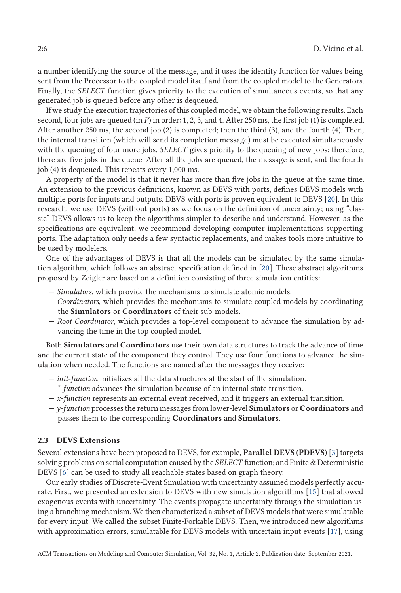a number identifying the source of the message, and it uses the identity function for values being sent from the Processor to the coupled model itself and from the coupled model to the Generators. Finally, the *SELECT* function gives priority to the execution of simultaneous events, so that any generated job is queued before any other is dequeued.

If we study the execution trajectories of this coupled model, we obtain the following results. Each second, four jobs are queued (in *P*) in order: 1, 2, 3, and 4. After 250 ms, the first job (1) is completed. After another 250 ms, the second job (2) is completed; then the third (3), and the fourth (4). Then, the internal transition (which will send its completion message) must be executed simultaneously with the queuing of four more jobs. *SELECT* gives priority to the queuing of new jobs; therefore, there are five jobs in the queue. After all the jobs are queued, the message is sent, and the fourth job (4) is dequeued. This repeats every 1,000 ms.

A property of the model is that it never has more than five jobs in the queue at the same time. An extension to the previous definitions, known as DEVS with ports, defines DEVS models with multiple ports for inputs and outputs. DEVS with ports is proven equivalent to DEVS [\[20\]](#page-26-0). In this research, we use DEVS (without ports) as we focus on the definition of uncertainty; using "classic" DEVS allows us to keep the algorithms simpler to describe and understand. However, as the specifications are equivalent, we recommend developing computer implementations supporting ports. The adaptation only needs a few syntactic replacements, and makes tools more intuitive to be used by modelers.

One of the advantages of DEVS is that all the models can be simulated by the same simulation algorithm, which follows an abstract specification defined in [\[20\]](#page-26-0). These abstract algorithms proposed by Zeigler are based on a definition consisting of three simulation entities:

- *Simulators*, which provide the mechanisms to simulate atomic models.
- *Coordinators*, which provides the mechanisms to simulate coupled models by coordinating the **Simulators** or **Coordinators** of their sub-models.
- *Root Coordinator*, which provides a top-level component to advance the simulation by advancing the time in the top coupled model.

Both **Simulators** and **Coordinators** use their own data structures to track the advance of time and the current state of the component they control. They use four functions to advance the simulation when needed. The functions are named after the messages they receive:

- *init-function* initializes all the data structures at the start of the simulation.
- *\*-function* advances the simulation because of an internal state transition.
- *x-function* represents an external event received, and it triggers an external transition.
- *y-function* processes the return messages from lower-level **Simulators** or **Coordinators** and passes them to the corresponding **Coordinators** and **Simulators**.

## **2.3 DEVS Extensions**

Several extensions have been proposed to DEVS, for example, **Parallel DEVS** (**PDEVS**) [\[3\]](#page-26-0) targets solving problems on serial computation caused by the *SELECT* function; and Finite & Deterministic DEVS [\[6\]](#page-26-0) can be used to study all reachable states based on graph theory.

Our early studies of Discrete-Event Simulation with uncertainty assumed models perfectly accurate. First, we presented an extension to DEVS with new simulation algorithms [\[15\]](#page-26-0) that allowed exogenous events with uncertainty. The events propagate uncertainty through the simulation using a branching mechanism. We then characterized a subset of DEVS models that were simulatable for every input. We called the subset Finite-Forkable DEVS. Then, we introduced new algorithms with approximation errors, simulatable for DEVS models with uncertain input events [\[17\]](#page-26-0), using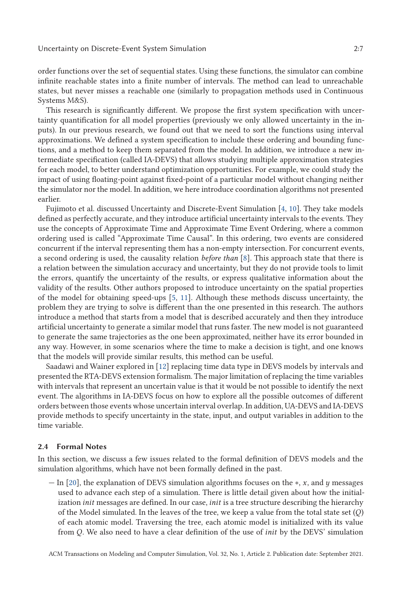order functions over the set of sequential states. Using these functions, the simulator can combine infinite reachable states into a finite number of intervals. The method can lead to unreachable states, but never misses a reachable one (similarly to propagation methods used in Continuous Systems M&S).

This research is significantly different. We propose the first system specification with uncertainty quantification for all model properties (previously we only allowed uncertainty in the inputs). In our previous research, we found out that we need to sort the functions using interval approximations. We defined a system specification to include these ordering and bounding functions, and a method to keep them separated from the model. In addition, we introduce a new intermediate specification (called IA-DEVS) that allows studying multiple approximation strategies for each model, to better understand optimization opportunities. For example, we could study the impact of using floating-point against fixed-point of a particular model without changing neither the simulator nor the model. In addition, we here introduce coordination algorithms not presented earlier.

Fujimoto et al. discussed Uncertainty and Discrete-Event Simulation [\[4,](#page-26-0) [10\]](#page-26-0). They take models defined as perfectly accurate, and they introduce artificial uncertainty intervals to the events. They use the concepts of Approximate Time and Approximate Time Event Ordering, where a common ordering used is called "Approximate Time Causal". In this ordering, two events are considered concurrent if the interval representing them has a non-empty intersection. For concurrent events, a second ordering is used, the causality relation *before than* [\[8\]](#page-26-0). This approach state that there is a relation between the simulation accuracy and uncertainty, but they do not provide tools to limit the errors, quantify the uncertainty of the results, or express qualitative information about the validity of the results. Other authors proposed to introduce uncertainty on the spatial properties of the model for obtaining speed-ups [\[5,](#page-26-0) [11\]](#page-26-0). Although these methods discuss uncertainty, the problem they are trying to solve is different than the one presented in this research. The authors introduce a method that starts from a model that is described accurately and then they introduce artificial uncertainty to generate a similar model that runs faster. The new model is not guaranteed to generate the same trajectories as the one been approximated, neither have its error bounded in any way. However, in some scenarios where the time to make a decision is tight, and one knows that the models will provide similar results, this method can be useful.

Saadawi and Wainer explored in [\[12\]](#page-26-0) replacing time data type in DEVS models by intervals and presented the RTA-DEVS extension formalism. The major limitation of replacing the time variables with intervals that represent an uncertain value is that it would be not possible to identify the next event. The algorithms in IA-DEVS focus on how to explore all the possible outcomes of different orders between those events whose uncertain interval overlap. In addition, UA-DEVS and IA-DEVS provide methods to specify uncertainty in the state, input, and output variables in addition to the time variable.

#### **2.4 Formal Notes**

In this section, we discuss a few issues related to the formal definition of DEVS models and the simulation algorithms, which have not been formally defined in the past.

— In [\[20\]](#page-26-0), the explanation of DEVS simulation algorithms focuses on the ∗, *x*, and *y* messages used to advance each step of a simulation. There is little detail given about how the initialization *init* messages are defined. In our case, *init* is a tree structure describing the hierarchy of the Model simulated. In the leaves of the tree, we keep a value from the total state set (*Q*) of each atomic model. Traversing the tree, each atomic model is initialized with its value from *Q*. We also need to have a clear definition of the use of *init* by the DEVS' simulation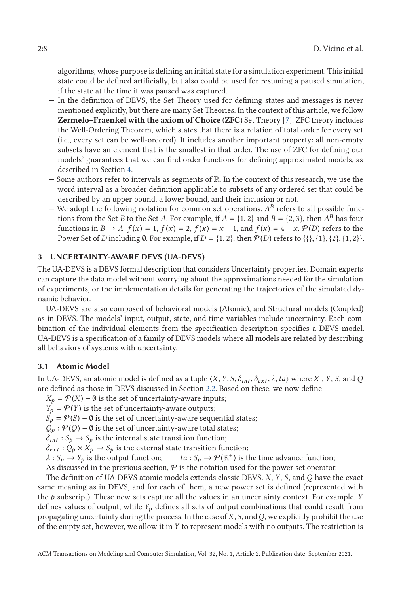<span id="page-7-0"></span>algorithms, whose purpose is defining an initial state for a simulation experiment. This initial state could be defined artificially, but also could be used for resuming a paused simulation, if the state at the time it was paused was captured.

- In the definition of DEVS, the Set Theory used for defining states and messages is never mentioned explicitly, but there are many Set Theories. In the context of this article, we follow **Zermelo–Fraenkel with the axiom of Choice** (**ZFC**) Set Theory [\[7\]](#page-26-0). ZFC theory includes the Well-Ordering Theorem, which states that there is a relation of total order for every set (i.e., every set can be well-ordered). It includes another important property: all non-empty subsets have an element that is the smallest in that order. The use of ZFC for defining our models' guarantees that we can find order functions for defining approximated models, as described in Section [4.](#page-10-0)
- Some authors refer to intervals as segments of  $\mathbb{R}$ . In the context of this research, we use the word interval as a broader definition applicable to subsets of any ordered set that could be described by an upper bound, a lower bound, and their inclusion or not.
- We adopt the following notation for common set operations.  $A^B$  refers to all possible functions from the Set *B* to the Set *A*. For example, if  $A = \{1, 2\}$  and  $B = \{2, 3\}$ , then  $A^B$  has four functions in *B*  $\rightarrow$  *A*:  $f(x) = 1$ ,  $f(x) = 2$ ,  $f(x) = x - 1$ , and  $f(x) = 4 - x$ . P(*D*) refers to the Power Set of *D* including Ø. For example, if  $D = \{1, 2\}$ , then  $\mathcal{P}(D)$  refers to  $\{\{\}, \{1\}, \{2\}, \{1, 2\}\}.$

## **3 UNCERTAINTY-AWARE DEVS (UA-DEVS)**

The UA-DEVS is a DEVS formal description that considers Uncertainty properties. Domain experts can capture the data model without worrying about the approximations needed for the simulation of experiments, or the implementation details for generating the trajectories of the simulated dynamic behavior.

UA-DEVS are also composed of behavioral models (Atomic), and Structural models (Coupled) as in DEVS. The models' input, output, state, and time variables include uncertainty. Each combination of the individual elements from the specification description specifies a DEVS model. UA-DEVS is a specification of a family of DEVS models where all models are related by describing all behaviors of systems with uncertainty.

## **3.1 Atomic Model**

In UA-DEVS, an atomic model is defined as a tuple  $\langle X, Y, S, \delta_{int}, \delta_{ext}, \lambda, ta \rangle$  where *X*, *Y*, *S*, and *Q* are defined as those in DEVS discussed in Section [2.2.](#page-2-0) Based on these, we now define

 $X_p = \mathcal{P}(X) - \emptyset$  is the set of uncertainty-aware inputs;

 $Y_p = \mathcal{P}(Y)$  is the set of uncertainty-aware outputs;

 $S_p = \mathcal{P}(S) - \emptyset$  is the set of uncertainty-aware sequential states;

 $Q_p$  :  $P(Q)$  − Ø is the set of uncertainty-aware total states;

 $\delta_{int}: S_p \to S_p$  is the internal state transition function;

 $\delta_{ext}$  :  $Q_p \times X_p \rightarrow S_p$  is the external state transition function;

 $\lambda$  :  $S_p \to Y_p$  is the output function;  $ta : S_p \to \mathcal{P}(\mathbb{R}^+)$  is the time advance function;

As discussed in the previous section,  $P$  is the notation used for the power set operator.

The definition of UA-DEVS atomic models extends classic DEVS. *X*, *Y*, *S*, and *Q* have the exact same meaning as in DEVS, and for each of them, a new power set is defined (represented with the *p* subscript). These new sets capture all the values in an uncertainty context. For example, *Y* defines values of output, while *Y<sup>p</sup>* defines all sets of output combinations that could result from propagating uncertainty during the process. In the case of*X*, *S*, and*Q*, we explicitly prohibit the use of the empty set, however, we allow it in *Y* to represent models with no outputs. The restriction is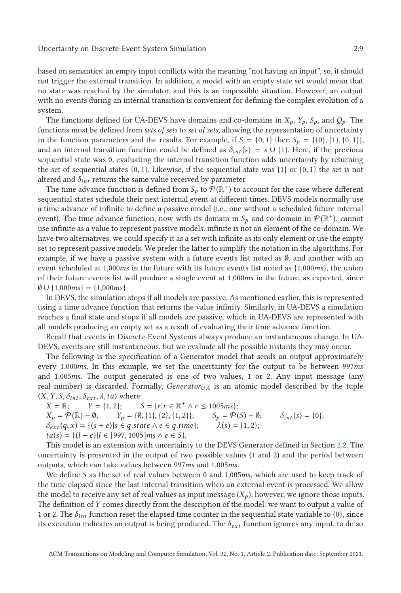based on semantics: an empty input conflicts with the meaning "not having an input", so, it should not trigger the external transition. In addition, a model with an empty state set would mean that no state was reached by the simulator, and this is an impossible situation. However, an output with no events during an internal transition is convenient for defining the complex evolution of a system.

The functions defined for UA-DEVS have domains and co-domains in  $X_p$ ,  $Y_p$ ,  $S_p$ , and  $Q_p$ . The functions must be defined from *sets of sets* to *set of sets*, allowing the representation of uncertainty in the function parameters and the results. For example, if  $S = \{0, 1\}$  then  $S_p = \{\{0\}, \{1\}, \{0, 1\}\}\$ and an internal transition function could be defined as  $\delta_{int}(s) = s \cup \{1\}$ . Here, if the previous sequential state was 0, evaluating the internal transition function adds uncertainty by returning the set of sequential states  $\{0, 1\}$ . Likewise, if the sequential state was  $\{1\}$  or  $\{0, 1\}$  the set is not altered and  $\delta_{int}$  returns the same value received by parameter.

The time advance function is defined from  $S_p$  to  $\mathcal{P}(\mathbb{R}^+)$  to account for the case where different sequential states schedule their next internal event at different times. DEVS models normally use a time advance of infinite to define a passive model (i.e., one without a scheduled future internal event). The time advance function, now with its domain in  $S_p$  and co-domain in  $\mathcal{P}(\mathbb{R}^+)$ , cannot use infinite as a value to represent passive models: infinite is not an element of the co-domain. We have two alternatives; we could specify it as a set with infinite as its only element or use the empty set to represent passive models. We prefer the latter to simplify the notation in the algorithms. For example, if we have a passive system with a future events list noted as  $\emptyset$ , and another with an event scheduled at 1,000*ms* in the future with its future events list noted as {1,000*ms*}, the union of their future events list will produce a single event at 1,000*ms* in the future, as expected, since ∅∪{1,000*ms*} = {1,000*ms*}.

In DEVS, the simulation stops if all models are passive. As mentioned earlier, this is represented using a time advance function that returns the value infinity. Similarly, in UA-DEVS a simulation reaches a final state and stops if all models are passive, which in UA-DEVS are represented with all models producing an empty set as a result of evaluating their time advance function.

Recall that events in Discrete-Event Systems always produce an instantaneous change. In UA-DEVS, events are still instantaneous, but we evaluate all the possible instants they may occur.

The following is the specification of a Generator model that sends an output approximately every 1,000*ms*. In this example, we set the uncertainty for the output to be between 997*ms* and 1,005*ms*. The output generated is one of two values, 1 or 2. Any input message (any real number) is discarded. Formally, *Generator*<sub>*UA*</sub> is an atomic model described by the tuple  $\langle X, Y, S, \delta_{int}, \delta_{ext}, \lambda, ta \rangle$  where:<br> $X = \mathbb{R}$ ;  $Y = \{1, 2\}$ ; *S* 

 $X = \mathbb{R};$   $Y = \{1, 2\};$   $S = \{r | r \in \mathbb{R}^+ \land r \le 1005ms\};$ <br>  $X_p = \mathcal{P}(\mathbb{R}) - \emptyset;$   $Y_p = \{\emptyset, \{1\}, \{2\}, \{1, 2\}\};$   $S_p = \mathcal{P}(\emptyset)$  $Y_p = \{\emptyset, \{1\}, \{2\}, \{1, 2\}\};$   $S_p = \mathcal{P}(S) - \emptyset;$   $\delta_{int}(s) = \{0\};$  $\delta_{ext}(q, x) = \{(s + e) | s \in q. state \land e \in q. time\}; \qquad \lambda(s) = \{1, 2\};$ *ta*(*s*) = {(*l* − *e*)|*l* ∈ [997, 1005]*ms* ∧ *e* ∈ *S*}.

This model is an extension with uncertainty to the DEVS Generator defined in Section [2.2.](#page-2-0) The uncertainty is presented in the output of two possible values (1 and 2) and the period between outputs, which can take values between 997*ms* and 1,005*ms*.

We define *S* as the set of real values between 0 and 1,005*ms*, which are used to keep track of the time elapsed since the last internal transition when an external event is processed. We allow the model to receive any set of real values as input message  $(X_p)$ ; however, we ignore those inputs. The definition of *Y* comes directly from the description of the model: we want to output a value of 1 or 2. The  $\delta_{int}$  function reset the elapsed time counter in the sequential state variable to {0}, since its execution indicates an output is being produced. The *δext* function ignores any input, to do so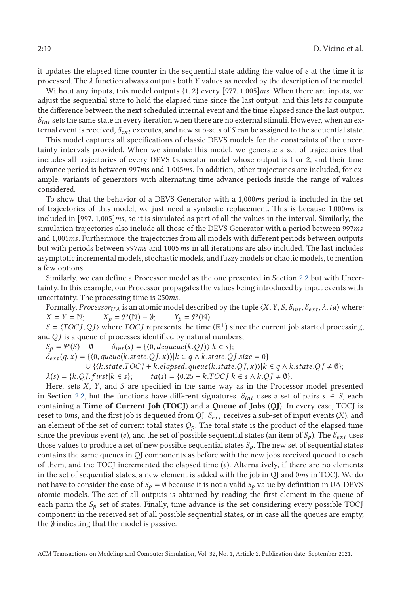it updates the elapsed time counter in the sequential state adding the value of *e* at the time it is processed. The *λ* function always outputs both *Y* values as needed by the description of the model.

Without any inputs, this model outputs {1, <sup>2</sup>} every [977, 1,005]*ms*. When there are inputs, we adjust the sequential state to hold the elapsed time since the last output, and this lets *ta* compute the difference between the next scheduled internal event and the time elapsed since the last output.  $\delta_{int}$  sets the same state in every iteration when there are no external stimuli. However, when an external event is received, *δext* executes, and new sub-sets of *S* can be assigned to the sequential state.

This model captures all specifications of classic DEVS models for the constraints of the uncertainty intervals provided. When we simulate this model, we generate a set of trajectories that includes all trajectories of every DEVS Generator model whose output is 1 or 2, and their time advance period is between 997*ms* and 1,005*ms*. In addition, other trajectories are included, for example, variants of generators with alternating time advance periods inside the range of values considered.

To show that the behavior of a DEVS Generator with a 1,000*ms* period is included in the set of trajectories of this model, we just need a syntactic replacement. This is because 1,000*ms* is included in [997, 1,005]*ms*, so it is simulated as part of all the values in the interval. Similarly, the simulation trajectories also include all those of the DEVS Generator with a period between 997*ms* and 1,005*ms*. Furthermore, the trajectories from all models with different periods between outputs but with periods between 997*ms* and 1005*ms* in all iterations are also included. The last includes asymptotic incremental models, stochastic models, and fuzzy models or chaotic models, to mention a few options.

Similarly, we can define a Processor model as the one presented in Section [2.2](#page-2-0) but with Uncertainty. In this example, our Processor propagates the values being introduced by input events with uncertainty. The processing time is 250*ms*.

Formally, *ProcessorUA* is an atomic model described by the tuple  $\langle X, Y, S, \delta_{int}, \delta_{ext}, \lambda, ta \rangle$  where:<br> $X = Y = \mathbb{N};$   $X_p = \mathcal{P}(\mathbb{N}) - \emptyset;$   $Y_p = \mathcal{P}(\mathbb{N})$  $X_p = \mathcal{P}(\mathbb{N}) - \emptyset;$ 

 $S = \langle TOCJ, QJ \rangle$  where *TOCJ* represents the time ( $\mathbb{R}^+$ ) since the current job started processing, and *QJ* is a queue of processes identified by natural numbers;

 $S_p = \mathcal{P}(S) - \emptyset$  *δ*<sub>*int*</sub>(*s*) = { $\langle 0, \text{dequeue}(k.QJ) \rangle | k \in s$ };

 $\delta_{ext}(q, x) = \{(0, queue(k.state.QJ, x)) | k \in q \land k.state.QJ.size = 0\}$ 

$$
\cup \{ \langle k.state.TOCJ + k.\mathit{elapsed}, queue(k.state.QJ,x) \rangle | k \in q \land k.\mathit{state}.QJ \neq \emptyset \};
$$

 $\lambda(s) = \{k.QJ. first|k \in s\};$   $ta(s) = \{0.25 - k.TOCJ|k \in s \wedge k.QJ \neq \emptyset\}.$ 

 $\lambda(s) = \{k.QJ.first | k \in s\};$   $ta(s) = \{0.25 - k.TOCJ | k \in s \land k.QJ \neq \emptyset\}.$ <br>Here, sets X, Y, and S are specified in the same way as in the Processor model presented in Section [2.2,](#page-2-0) but the functions have different signatures.  $\delta_{int}$  uses a set of pairs  $s \in S$ , each containing a **Time of Current Job** (**TOCJ**) and a **Queue of Jobs** (**QJ**). In every case, TOCJ is reset to 0*ms*, and the first job is dequeued from QJ. *δext* receives a sub-set of input events (*X*), and an element of the set of current total states  $Q_p$ . The total state is the product of the elapsed time since the previous event (*e*), and the set of possible sequential states (an item of  $S_p$ ). The  $\delta_{ext}$  uses those values to produce a set of new possible sequential states  $S_p$ . The new set of sequential states contains the same queues in QJ components as before with the new jobs received queued to each of them, and the TOCJ incremented the elapsed time (*e*). Alternatively, if there are no elements in the set of sequential states, a new element is added with the job in QJ and 0*ms* in TOCJ. We do not have to consider the case of  $S_p = \emptyset$  because it is not a valid  $S_p$  value by definition in UA-DEVS atomic models. The set of all outputs is obtained by reading the first element in the queue of each parin the  $S_p$  set of states. Finally, time advance is the set considering every possible TOCJ component in the received set of all possible sequential states, or in case all the queues are empty, the  $\emptyset$  indicating that the model is passive.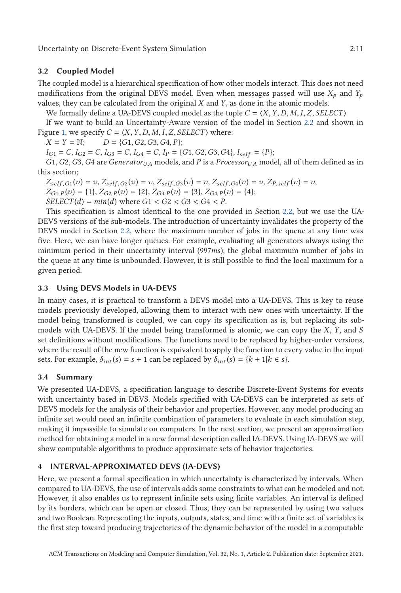# <span id="page-10-0"></span>**3.2 Coupled Model**

The coupled model is a hierarchical specification of how other models interact. This does not need modifications from the original DEVS model. Even when messages passed will use  $X_p$  and  $Y_p$ values, they can be calculated from the original *X* and *Y*, as done in the atomic models.

We formally define a UA-DEVS coupled model as the tuple  $C = \langle X, Y, D, M, I, Z, SELECT \rangle$ 

If we want to build an Uncertainty-Aware version of the model in Section [2.2](#page-2-0) and shown in Figure [1,](#page-4-0) we specify  $C = \langle X, Y, D, M, I, Z, SELECT \rangle$  where:<br> $X = Y = \mathbb{N};$   $D = \{G1, G2, G3, G4, P\};$ 

 $X = Y = N$ ;  $D = \{G1, G2, G3, G4, P\}$ ;<br> $I_{C1} = C \ I_{C2} = C \ I_{C1} = C \ I_{D1} = C \ I_{D2} = C$ 

 $I_{G1} = C$ ,  $I_{G2} = C$ ,  $I_{G3} = C$ ,  $I_{G4} = C$ ,  $I_P = \{G1, G2, G3, G4\}$ ,  $I_{self} = \{P\};$ <br>*G1 G2 G3 G4* are Generatory, models and *P* is a *Processory*, mod

*G*1, *G*2, *G*3, *G*4 are *Generator*<sub>*UA*</sub> models, and *P* is a *Processor*<sub>*UA*</sub> model, all of them defined as in this section;

 $Z_{self,G1}(v) = v, Z_{self,G2}(v) = v, Z_{self,G3}(v) = v, Z_{self,G4}(v) = v, Z_{P,self}(v) = v,$  $Z_{G1,P}(v) = \{1\}, Z_{G2,P}(v) = \{2\}, Z_{G3,P}(v) = \{3\}, Z_{G4,P}(v) = \{4\};$  $SELECT(d) = min(d)$  where  $G1 < G2 < G3 < G4 < P$ .

This specification is almost identical to the one provided in Section [2.2,](#page-2-0) but we use the UA-DEVS versions of the sub-models. The introduction of uncertainty invalidates the property of the DEVS model in Section [2.2,](#page-2-0) where the maximum number of jobs in the queue at any time was five. Here, we can have longer queues. For example, evaluating all generators always using the minimum period in their uncertainty interval (997*ms*), the global maximum number of jobs in the queue at any time is unbounded. However, it is still possible to find the local maximum for a given period.

# **3.3 Using DEVS Models in UA-DEVS**

In many cases, it is practical to transform a DEVS model into a UA-DEVS. This is key to reuse models previously developed, allowing them to interact with new ones with uncertainty. If the model being transformed is coupled, we can copy its specification as is, but replacing its submodels with UA-DEVS. If the model being transformed is atomic, we can copy the *X*, *Y*, and *S* set definitions without modifications. The functions need to be replaced by higher-order versions, where the result of the new function is equivalent to apply the function to every value in the input sets. For example,  $\delta_{int}(s) = s + 1$  can be replaced by  $\delta_{int}(s) = \{k + 1|k \in s\}.$ 

## **3.4 Summary**

We presented UA-DEVS, a specification language to describe Discrete-Event Systems for events with uncertainty based in DEVS. Models specified with UA-DEVS can be interpreted as sets of DEVS models for the analysis of their behavior and properties. However, any model producing an infinite set would need an infinite combination of parameters to evaluate in each simulation step, making it impossible to simulate on computers. In the next section, we present an approximation method for obtaining a model in a new formal description called IA-DEVS. Using IA-DEVS we will show computable algorithms to produce approximate sets of behavior trajectories.

# **4 INTERVAL-APPROXIMATED DEVS (IA-DEVS)**

Here, we present a formal specification in which uncertainty is characterized by intervals. When compared to UA-DEVS, the use of intervals adds some constraints to what can be modeled and not. However, it also enables us to represent infinite sets using finite variables. An interval is defined by its borders, which can be open or closed. Thus, they can be represented by using two values and two Boolean. Representing the inputs, outputs, states, and time with a finite set of variables is the first step toward producing trajectories of the dynamic behavior of the model in a computable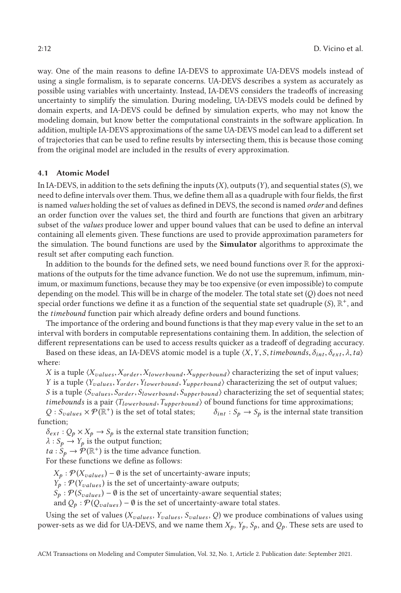way. One of the main reasons to define IA-DEVS to approximate UA-DEVS models instead of using a single formalism, is to separate concerns. UA-DEVS describes a system as accurately as possible using variables with uncertainty. Instead, IA-DEVS considers the tradeoffs of increasing uncertainty to simplify the simulation. During modeling, UA-DEVS models could be defined by domain experts, and IA-DEVS could be defined by simulation experts, who may not know the modeling domain, but know better the computational constraints in the software application. In addition, multiple IA-DEVS approximations of the same UA-DEVS model can lead to a different set of trajectories that can be used to refine results by intersecting them, this is because those coming from the original model are included in the results of every approximation.

## **4.1 Atomic Model**

In IA-DEVS, in addition to the sets defining the inputs (*X*), outputs (*Y*), and sequential states (*S*), we need to define intervals over them. Thus, we define them all as a quadruple with four fields, the first is named *values* holding the set of values as defined in DEVS, the second is named *order* and defines an order function over the values set, the third and fourth are functions that given an arbitrary subset of the *values* produce lower and upper bound values that can be used to define an interval containing all elements given. These functions are used to provide approximation parameters for the simulation. The bound functions are used by the **Simulator** algorithms to approximate the result set after computing each function.

In addition to the bounds for the defined sets, we need bound functions over  $\mathbb R$  for the approximations of the outputs for the time advance function. We do not use the supremum, infimum, minimum, or maximum functions, because they may be too expensive (or even impossible) to compute depending on the model. This will be in charge of the modeler. The total state set (*Q*) does not need special order functions we define it as a function of the sequential state set quadruple  $(S)$ ,  $\mathbb{R}^+$ , and the *timebound* function pair which already define orders and bound functions.

The importance of the ordering and bound functions is that they map every value in the set to an interval with borders in computable representations containing them. In addition, the selection of different representations can be used to access results quicker as a tradeoff of degrading accuracy.

Based on these ideas, an IA-DEVS atomic model is a tuple  $\langle X, Y, S, \text{t} \rangle$  *imebounds*,  $\delta_{int}, \delta_{ext}, \lambda, t\alpha$ where:

*X* is a tuple  $\langle X_{values}, X_{order}, X_{lowerbound}, X_{upperbound} \rangle$  characterizing the set of input values; *<sup>Y</sup>* is a tuple *Yvalues* ,*Yorder*,*Ylowerbound* ,*Yupperbound* characterizing the set of output values; *<sup>S</sup>* is a tuple *Svalues* , *<sup>S</sup>order*, *<sup>S</sup>lowerbound* , *<sup>S</sup>upperbound* characterizing the set of sequential states; *timebounds* is a pair  $\langle T_{lowerbound}, T_{upperbound} \rangle$  of bound functions for time approximations;<br> $Q : S_{values} \times \mathcal{P}(\mathbb{R}^+)$  is the set of total states;  $\delta_{int} : S_p \to S_p$  is the internal state transition

 $Q: S_{values} \times \mathcal{P}(\mathbb{R}^+)$  is the set of total states; function;

 $\delta_{ext}$  :  $Q_p \times X_p \rightarrow S_p$  is the external state transition function;

 $\lambda$  : *S<sub>p</sub>*  $\rightarrow$  *Y<sub>p</sub>* is the output function;

 $ta: S_p \to \mathcal{P}(\mathbb{R}^+)$  is the time advance function.

For these functions we define as follows:

 $X_p$  :  $P(X_{values}) - \emptyset$  is the set of uncertainty-aware inputs;

 $Y_p$ :  $P(Y_{values})$  is the set of uncertainty-aware outputs;

 $S_p$  :  $P(S_{values}) - \emptyset$  is the set of uncertainty-aware sequential states;

and  $Q_p$  :  $P(Q_{values}) - \emptyset$  is the set of uncertainty-aware total states.

Using the set of values (*Xvalues* , *Yvalues* , *Svalues* , *Q*) we produce combinations of values using power-sets as we did for UA-DEVS, and we name them  $X_p$ ,  $Y_p$ ,  $S_p$ , and  $Q_p$ . These sets are used to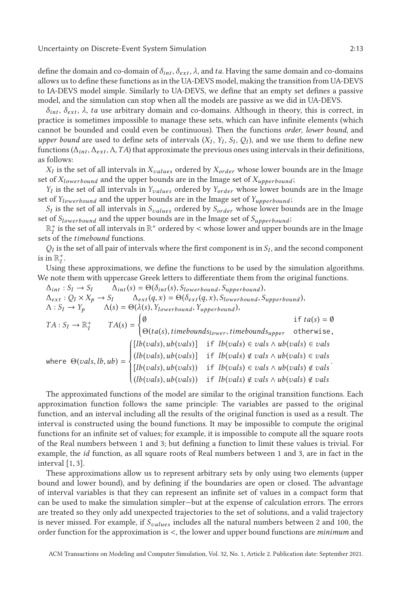define the domain and co-domain of  $\delta_{int}$ ,  $\delta_{ext}$ ,  $\lambda$ , and *ta*. Having the same domain and co-domains allows us to define these functions as in the UA-DEVS model, making the transition from UA-DEVS to IA-DEVS model simple. Similarly to UA-DEVS, we define that an empty set defines a passive model, and the simulation can stop when all the models are passive as we did in UA-DEVS.

 $\delta_{int}$ ,  $\delta_{ext}$ ,  $\lambda$ , *ta* use arbitrary domain and co-domains. Although in theory, this is correct, in practice is sometimes impossible to manage these sets, which can have infinite elements (which cannot be bounded and could even be continuous). Then the functions *order*, *lower bound*, and *upper bound* are used to define sets of intervals  $(X_I, Y_I, S_I, Q_I)$ , and we use them to define new functions ( $\Delta_{int}$ ,  $\Delta_{ext}$ ,  $\Delta$ ,  $TA$ ) that approximate the previous ones using intervals in their definitions, as follows:

*X<sup>I</sup>* is the set of all intervals in *Xvalues* ordered by *Xorder* whose lower bounds are in the Image set of *Xlowerbound* and the upper bounds are in the Image set of *Xupperbound* ;

*Y<sup>I</sup>* is the set of all intervals in *Yvalues* ordered by *Yorder* whose lower bounds are in the Image set of *Ylowerbound* and the upper bounds are in the Image set of *Yupperbound* ;

*S<sup>I</sup>* is the set of all intervals in *Svalues* ordered by *Sorder* whose lower bounds are in the Image set of *Slowerbound* and the upper bounds are in the Image set of *Supperbound* ;

 $\mathbb{R}_I^+$  is the set of all intervals in  $\mathbb{R}^+$  ordered by < whose lower and upper bounds are in the Image<br>is of the *timebound* functions sets of the *timebound* functions.

 $Q_I$  is the set of all pair of intervals where the first component is in  $S_I$ , and the second component is in  $\mathbb{R}_I^+$ .

Using these approximations, we define the functions to be used by the simulation algorithms. We note them with uppercase Greek letters to differentiate them from the original functions.

$$
\Delta_{int}: S_I \to S_I \qquad \Delta_{int}(s) = \Theta(\delta_{int}(s), S_{lowerbound}, S_{upperbound}),
$$
\n
$$
\Delta_{ext}: Q_I \times X_p \to S_I \qquad \Delta_{ext}(q, x) = \Theta(\delta_{ext}(q, x), S_{lowerbound}, S_{upperbound}),
$$
\n
$$
\Lambda: S_I \to Y_p \qquad \Lambda(s) = \Theta(\lambda(s), Y_{lowerbound}, Y_{upperbound}),
$$
\n
$$
TA: S_I \to \mathbb{R}_I^+ \qquad TA(s) = \begin{cases} \emptyset & \text{if } ta(s) = \emptyset \\ \Theta(ta(s), timebounds_{lower}, timebounds_{upper} & \text{otherwise,} \\ \Theta(ta(s), ub(vals)) & \text{if } lb(vals) \in vals \land ub(vals) \in vals \end{cases}
$$
\nwhere  $\Theta(vals, lb, ub) = \begin{cases} [lb(vals), ub(vals)] & \text{if } lb(vals) \notin vals \land ub(vals) \in vals \\ [lb(vals), ub(vals)) & \text{if } lb(vals) \notin vals \land ub(vals) \notin vals \\ (lb(vals), ub(vals)) & \text{if } lb(vals) \notin vals \land ub(vals) \notin vals \end{cases}$ 

The approximated functions of the model are similar to the original transition functions. Each approximation function follows the same principle: The variables are passed to the original function, and an interval including all the results of the original function is used as a result. The interval is constructed using the bound functions. It may be impossible to compute the original functions for an infinite set of values; for example, it is impossible to compute all the square roots of the Real numbers between 1 and 3; but defining a function to limit these values is trivial. For example, the *id* function, as all square roots of Real numbers between 1 and 3, are in fact in the interval [1, 3].

These approximations allow us to represent arbitrary sets by only using two elements (upper bound and lower bound), and by defining if the boundaries are open or closed. The advantage of interval variables is that they can represent an infinite set of values in a compact form that can be used to make the simulation simpler—but at the expense of calculation errors. The errors are treated so they only add unexpected trajectories to the set of solutions, and a valid trajectory is never missed. For example, if *Svalues* includes all the natural numbers between 2 and 100, the order function for the approximation is <, the lower and upper bound functions are *minimum* and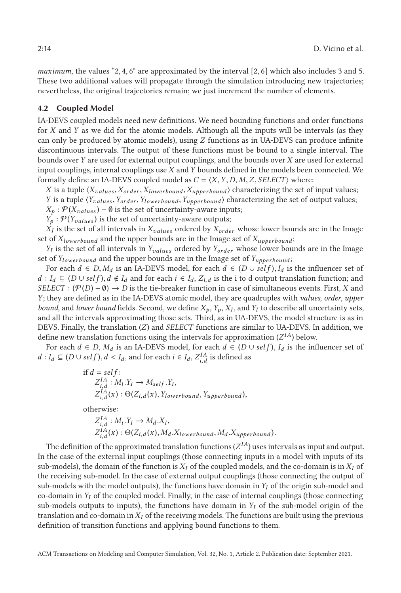*maximum*, the values "2, <sup>4</sup>, 6" are approximated by the interval [2, 6] which also includes 3 and 5. These two additional values will propagate through the simulation introducing new trajectories; nevertheless, the original trajectories remain; we just increment the number of elements.

#### **4.2 Coupled Model**

IA-DEVS coupled models need new definitions. We need bounding functions and order functions for *X* and *Y* as we did for the atomic models. Although all the inputs will be intervals (as they can only be produced by atomic models), using *Z* functions as in UA-DEVS can produce infinite discontinuous intervals. The output of these functions must be bound to a single interval. The bounds over *Y* are used for external output couplings, and the bounds over *X* are used for external input couplings, internal couplings use *X* and *Y* bounds defined in the models been connected. We formally define an IA-DEVS coupled model as  $C = \langle X, Y, D, M, Z, SELECT \rangle$  where:

*X* is a tuple  $\langle X_{values}, X_{order}, X_{lowerbound}, X_{upperbound} \rangle$  characterizing the set of input values; *<sup>Y</sup>* is a tuple *Yvalues* ,*Yorder*,*Ylowerbound* ,*Yupperbound* characterizing the set of output values;

 $X_p$  :  $\mathcal{P}(X_{values}) - \emptyset$  is the set of uncertainty-aware inputs;

 $Y_p$ :  $P(Y_{values})$  is the set of uncertainty-aware outputs;

 $X_I$  is the set of all intervals in  $X_{values}$  ordered by  $X_{order}$  whose lower bounds are in the Image set of *Xlowerbound* and the upper bounds are in the Image set of *Xupperbound* ;

*Y<sup>I</sup>* is the set of all intervals in *Yvalues* ordered by *Yorder* whose lower bounds are in the Image set of *Ylowerbound* and the upper bounds are in the Image set of *Yupperbound* ;

For each  $d \in D$ ,  $M_d$  is an IA-DEVS model, for each  $d \in (D \cup self)$ ,  $I_d$  is the influencer set of *d* : *I*<sup>*d*</sup> ⊆ (*D* ∪ *self*),*d* ∉ *I*<sup>*d*</sup> and for each *i* ∈ *I*<sup>*d*</sup>, *Z*<sub>*i*</sub>*d* is the i to d output translation function; and  $SE[ETET : (P(D) - 0) \rightarrow D$  is the tie-breaker function in case of simultaneous events. First *SELECT* :  $(\mathcal{P}(D) - \emptyset) \rightarrow D$  is the tie-breaker function in case of simultaneous events. First, *X* and *Y*; they are defined as in the IA-DEVS atomic model, they are quadruples with *values*, *order*, *upper bound*, and *lower bound* fields. Second, we define  $X_p$ ,  $Y_p$ ,  $X_I$ , and  $Y_I$  to describe all uncertainty sets, and all the intervals approximating those sets. Third, as in UA-DEVS, the model structure is as in DEVS. Finally, the translation (*Z*) and *SELECT* functions are similar to UA-DEVS. In addition, we define new translation functions using the intervals for approximation  $(Z^{IA})$  below.

For each  $d \in D$ ,  $M_d$  is an IA-DEVS model, for each  $d \in (D \cup self)$ ,  $I_d$  is the influencer set of *d* ∶ *I*<sup>*d*</sup> ⊆ (*D* ∪ *self*), *d* < *I*<sup>*d*</sup>, and for each *i* ∈ *I*<sup>*d*</sup>, *Z*<sup>*IA*</sup><sub>*i*</sub>,*d* is defined as

if 
$$
d = self
$$
:  
\n $Z_{i,d}^{IA}: M_i.Y_I \to M_{self}.Y_I$ ,  
\n $Z_{i,d}^{IA}(x) : \Theta(Z_{i,d}(x), Y_{lowerbound}, Y_{upperbound})$ ,

otherwise:

$$
Z_{i,d}^{IA}: M_i.Y_I \to M_d.X_I,
$$
  
\n
$$
Z_{i,d}^{IA}(x): \Theta(Z_{i,d}(x), M_d.X_{lowerbound}, M_d.X_{upperbound}).
$$

The definition of the approximated translation functions  $(Z^{IA})$  uses intervals as input and output. In the case of the external input couplings (those connecting inputs in a model with inputs of its sub-models), the domain of the function is  $X_I$  of the coupled models, and the co-domain is in  $X_I$  of the receiving sub-model. In the case of external output couplings (those connecting the output of sub-models with the model outputs), the functions have domain in  $Y_I$  of the origin sub-model and co-domain in  $Y_I$  of the coupled model. Finally, in the case of internal couplings (those connecting sub-models outputs to inputs), the functions have domain in  $Y_I$  of the sub-model origin of the translation and co-domain in  $X_I$  of the receiving models. The functions are built using the previous definition of transition functions and applying bound functions to them.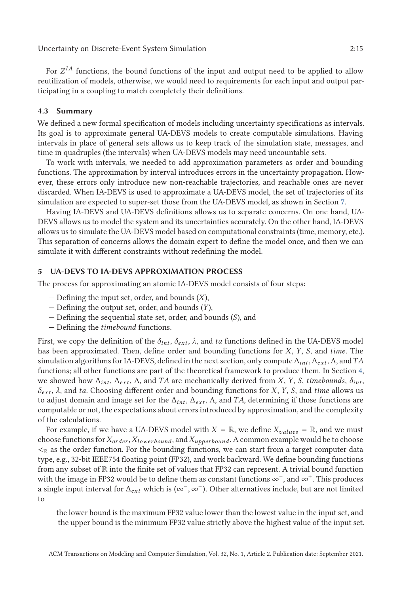<span id="page-14-0"></span>For  $Z^{IA}$  functions, the bound functions of the input and output need to be applied to allow reutilization of models, otherwise, we would need to requirements for each input and output participating in a coupling to match completely their definitions.

## **4.3 Summary**

We defined a new formal specification of models including uncertainty specifications as intervals. Its goal is to approximate general UA-DEVS models to create computable simulations. Having intervals in place of general sets allows us to keep track of the simulation state, messages, and time in quadruples (the intervals) when UA-DEVS models may need uncountable sets.

To work with intervals, we needed to add approximation parameters as order and bounding functions. The approximation by interval introduces errors in the uncertainty propagation. However, these errors only introduce new non-reachable trajectories, and reachable ones are never discarded. When IA-DEVS is used to approximate a UA-DEVS model, the set of trajectories of its simulation are expected to super-set those from the UA-DEVS model, as shown in Section [7.](#page-21-0)

Having IA-DEVS and UA-DEVS definitions allows us to separate concerns. On one hand, UA-DEVS allows us to model the system and its uncertainties accurately. On the other hand, IA-DEVS allows us to simulate the UA-DEVS model based on computational constraints (time, memory, etc.). This separation of concerns allows the domain expert to define the model once, and then we can simulate it with different constraints without redefining the model.

# **5 UA-DEVS TO IA-DEVS APPROXIMATION PROCESS**

The process for approximating an atomic IA-DEVS model consists of four steps:

- Defining the input set, order, and bounds (*X*),
- Defining the output set, order, and bounds (*Y*),
- Defining the sequential state set, order, and bounds (*S*), and
- Defining the *timebound* functions.

First, we copy the definition of the  $\delta_{int}$ ,  $\delta_{ext}$ ,  $\lambda$ , and ta functions defined in the UA-DEVS model has been approximated. Then, define order and bounding functions for *X*, *Y*, *S*, and *time*. The simulation algorithms for IA-DEVS, defined in the next section, only compute Δ*int* , Δ*ext* , Λ, and*TA* functions; all other functions are part of the theoretical framework to produce them. In Section [4,](#page-10-0) we showed how  $\Delta_{int}$ ,  $\Delta_{ext}$ ,  $\Delta$ , and *TA* are mechanically derived from *X*, *Y*, *S*, *timebounds*,  $\delta_{int}$ , *δext* , *λ*, and *ta*. Choosing different order and bounding functions for *X*, *Y*, *S*, and *time* allows us to adjust domain and image set for the  $\Delta_{int}$ ,  $\Delta_{ext}$ ,  $\Lambda$ , and *TA*, determining if those functions are computable or not, the expectations about errors introduced by approximation, and the complexity of the calculations.

For example, if we have a UA-DEVS model with  $X = \mathbb{R}$ , we define  $X_{values} = \mathbb{R}$ , and we must choose functions for*Xorder* ,*Xlowerbound* , and*Xupperbound* . A common example would be to choose  $\leq_{\mathbb{R}}$  as the order function. For the bounding functions, we can start from a target computer data type, e.g., 32-bit IEEE754 floating point (FP32), and work backward. We define bounding functions from any subset of R into the finite set of values that FP32 can represent. A trivial bound function with the image in FP32 would be to define them as constant functions ∞<sup>−</sup>, and ∞<sup>+</sup>. This produces a single input interval for  $\Delta_{ext}$  which is ( $\infty^-$ ,  $\infty^+$ ). Other alternatives include, but are not limited to

— the lower bound is the maximum FP32 value lower than the lowest value in the input set, and the upper bound is the minimum FP32 value strictly above the highest value of the input set.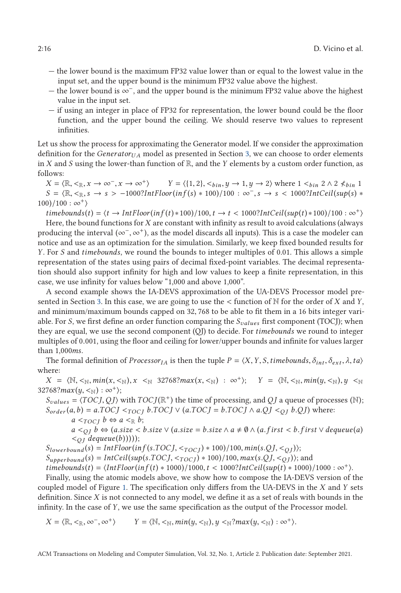- the lower bound is the maximum FP32 value lower than or equal to the lowest value in the input set, and the upper bound is the minimum FP32 value above the highest.
- the lower bound is ∞−, and the upper bound is the minimum FP32 value above the highest value in the input set.
- if using an integer in place of FP32 for representation, the lower bound could be the floor function, and the upper bound the ceiling. We should reserve two values to represent infinities.

Let us show the process for approximating the Generator model. If we consider the approximation definition for the *Generator*<sub>*UA*</sub> model as presented in Section [3,](#page-7-0) we can choose to order elements in *X* and *S* using the lower-than function of  $\mathbb{R}$ , and the *Y* elements by a custom order function, as follows:

 $X = \langle \mathbb{R}, \langle \mathbb{R}, \mathbb{R}, \mathbb{R} \rangle$   $\rightarrow$   $\infty$ ,  $\mathbb{R} \rightarrow \infty$   $\setminus$  *Y* =  $\langle \{1, 2\}, \langle \mathbb{R} \rangle$  *n*,  $y \rightarrow 1, y \rightarrow 2 \rangle$  where  $1 \langle \mathbb{R} \rangle$   $\setminus$   $\land$   $2 \langle \mathbb{R} \rangle$   $\setminus$   $1$  $S = \mathbb{R}, \langle \mathbb{R}, \mathbb{R}, s \to s \rangle$  -1000?*IntFloor(inf(s)* \* 100)/100 : ∞<sup>-</sup>, *s*  $\to$  *s* < 1000?*IntCeil(sup(s)* \*  $100)/100 : \infty^+$ 

 $t$ *imebounds* $(t) = \langle t \rightarrow \text{IntFloor}(inf(t) * 100)/100, t \rightarrow t < 1000?$ *IntCeil*( $sup(t) * 100)/100 : \infty^+ \rangle$ 

Here, the bound functions for *X* are constant with infinity as result to avoid calculations (always producing the interval ( $\infty^-$ ,  $\infty^+$ ), as the model discards all inputs). This is a case the modeler can notice and use as an optimization for the simulation. Similarly, we keep fixed bounded results for *Y*. For *S* and *timebounds*, we round the bounds to integer multiples of 0.01. This allows a simple representation of the states using pairs of decimal fixed-point variables. The decimal representation should also support infinity for high and low values to keep a finite representation, in this case, we use infinity for values below "1,000 and above 1,000".

A second example shows the IA-DEVS approximation of the UA-DEVS Processor model presented in Section [3.](#page-7-0) In this case, we are going to use the < function of <sup>N</sup> for the order of *<sup>X</sup>* and *<sup>Y</sup>*, and minimum/maximum bounds capped on 32, 768 to be able to fit them in a 16 bits integer variable. For *S*, we first define an order function comparing the *Svalues* first component (TOCJ); when they are equal, we use the second component (QJ) to decide. For *timebounds* we round to integer multiples of 0.001, using the floor and ceiling for lower/upper bounds and infinite for values larger than 1,000*ms*.

The formal definition of *Processor<sub>IA</sub>* is then the tuple  $P = \langle X, Y, S, \text{time}$ bounds,  $\delta_{int}, \delta_{ext}, \lambda, ta \rangle$ where:

 $X = \langle \mathbb{N}, \leq_{\mathbb{N}}, min(x, \leq_{\mathbb{N}}), x \leq_{\mathbb{N}} 32768? max(x, \leq_{\mathbb{N}}) : \infty^+ \rangle; \quad Y = \langle \mathbb{N}, \leq_{\mathbb{N}}, min(y, \leq_{\mathbb{N}}), y \leq_{\mathbb{N}}$  $32768?max(y, <_{\mathbb{N}}): \infty^+$ ;

 $S_{values} = \langle TOCJ, QJ \rangle$  with  $TOC J(\mathbb{R}^+)$  the time of processing, and *QJ* a queue of processes (N);  $S_{order}(a, b) = a.TOCJ \leq_{TOCI} b.TOCJ \lor (a.TOCJ = b.TOCJ \land a.QJ \leq_{OI} b.QJ)$  where:  $a \leq_{TOCI} b \Leftrightarrow a \leq_{\mathbb{R}} b;$ 

*a*  $\lt o$ <sub>*D*</sub> *b* ⇔ (*a*.*size*  $\lt$  *b.size* ∨ (*a.size* = *b.size* ∧ *a* ≠  $\emptyset$  ∧ (*a.first*  $\lt$  *b.first* ∨ *dequeue*(*a*)  $\langle O_I \text{ } degueue(b))$ ));

 $S_{lowerbound}(s) = Int Floor(inf(s.TOCJ, <_{TOCI}) * 100)/100, min(s.QJ, <_{OI})$ ;

 $S_{\text{upperbound}}(s) = \text{IntCeil}(\text{sup}(s.\text{TOCJ}, \langle \text{TOCJ} \rangle * 100)/100, \text{max}(s.QJ, \langle \text{O} \rangle)$ ; and

 $timebounds(t) = \langle Int Floor(inf(t) * 1000)/1000, t < 1000?IntCeil(sup(t) * 1000)/1000 : \infty^+\rangle.$ 

Finally, using the atomic models above, we show how to compose the IA-DEVS version of the coupled model of Figure [1.](#page-4-0) The specification only differs from the UA-DEVS in the *X* and *Y* sets definition. Since *X* is not connected to any model, we define it as a set of reals with bounds in the infinity. In the case of *Y*, we use the same specification as the output of the Processor model.

 $X = \langle \mathbb{R}, \langle \mathbb{R}, \infty^-, \infty^+ \rangle$  *Y* =  $\langle \mathbb{N}, \langle \mathbb{N}, \mathbb{N}, \mathbb{N} \rangle$  *N*,  $\langle \mathbb{N} \rangle$  *N*,  $\langle \mathbb{N} \rangle$  *x* (*y*,  $\langle \mathbb{N} \rangle$  :  $\infty^+$ ).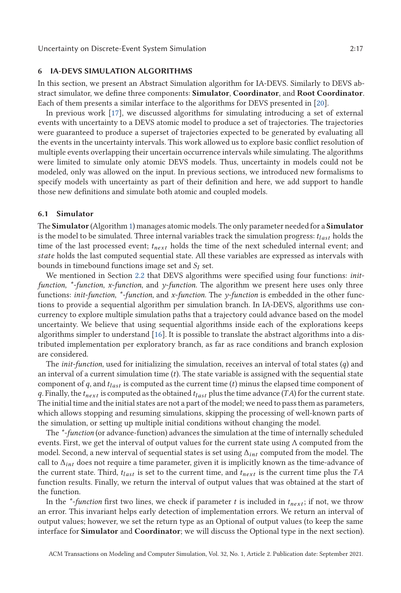#### <span id="page-16-0"></span>**6 IA-DEVS SIMULATION ALGORITHMS**

In this section, we present an Abstract Simulation algorithm for IA-DEVS. Similarly to DEVS abstract simulator, we define three components: **Simulator**, **Coordinator**, and **Root Coordinator**. Each of them presents a similar interface to the algorithms for DEVS presented in [\[20\]](#page-26-0).

In previous work [\[17\]](#page-26-0), we discussed algorithms for simulating introducing a set of external events with uncertainty to a DEVS atomic model to produce a set of trajectories. The trajectories were guaranteed to produce a superset of trajectories expected to be generated by evaluating all the events in the uncertainty intervals. This work allowed us to explore basic conflict resolution of multiple events overlapping their uncertain occurrence intervals while simulating. The algorithms were limited to simulate only atomic DEVS models. Thus, uncertainty in models could not be modeled, only was allowed on the input. In previous sections, we introduced new formalisms to specify models with uncertainty as part of their definition and here, we add support to handle those new definitions and simulate both atomic and coupled models.

# **6.1 Simulator**

The **Simulator** (Algorithm [1\)](#page-17-0) manages atomic models. The only parameter needed for a **Simulator** is the model to be simulated. Three internal variables track the simulation progress:  $t_{last}$  holds the time of the last processed event; *tnext* holds the time of the next scheduled internal event; and *state* holds the last computed sequential state. All these variables are expressed as intervals with bounds in timebound functions image set and *S<sup>I</sup>* set.

We mentioned in Section [2.2](#page-2-0) that DEVS algorithms were specified using four functions: *initfunction*, *\*-function*, *x-function*, and *y-function*. The algorithm we present here uses only three functions: *init-function*, *\*-function*, and *x-function*. The *y-function* is embedded in the other functions to provide a sequential algorithm per simulation branch. In IA-DEVS, algorithms use concurrency to explore multiple simulation paths that a trajectory could advance based on the model uncertainty. We believe that using sequential algorithms inside each of the explorations keeps algorithms simpler to understand [\[16\]](#page-26-0). It is possible to translate the abstract algorithms into a distributed implementation per exploratory branch, as far as race conditions and branch explosion are considered.

The *init-function*, used for initializing the simulation, receives an interval of total states (*q*) and an interval of a current simulation time (*t*). The state variable is assigned with the sequential state component of *q*, and *tlast* is computed as the current time (*t*) minus the elapsed time component of *q*. Finally, the *tnext* is computed as the obtained *tlast* plus the time advance (*TA*) for the current state. The initial time and the initial states are not a part of the model; we need to pass them as parameters, which allows stopping and resuming simulations, skipping the processing of well-known parts of the simulation, or setting up multiple initial conditions without changing the model.

The *\*-function* (or advance-function) advances the simulation at the time of internally scheduled events. First, we get the interval of output values for the current state using  $\Lambda$  computed from the model. Second, a new interval of sequential states is set using Δ*int* computed from the model. The call to  $\Delta_{int}$  does not require a time parameter, given it is implicitly known as the time-advance of the current state. Third, *tlast* is set to the current time, and *tnext* is the current time plus the *TA* function results. Finally, we return the interval of output values that was obtained at the start of the function.

In the  $*$ -*function* first two lines, we check if parameter *t* is included in  $t_{next}$ ; if not, we throw an error. This invariant helps early detection of implementation errors. We return an interval of output values; however, we set the return type as an Optional of output values (to keep the same interface for **Simulator** and **Coordinator**; we will discuss the Optional type in the next section).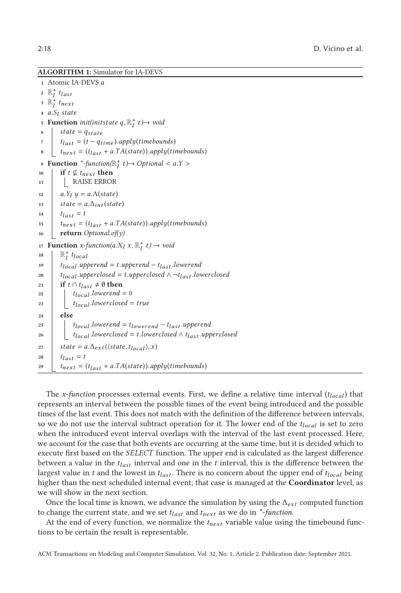<span id="page-17-0"></span>**ALGORITHM 1:** Simulator for IA-DEVS

 Atomic IA-DEVS *a*  $\mathbb{R}^+_I$  *t*<sub>*last*</sub>  $3 \mathbb{R}^+$  *t*<sub>next</sub> *<sup>a</sup>*.*S<sup>I</sup> state* **Function** *init(initstate q,*  $\mathbb{R}^+_I$  *t*) $\rightarrow$  *void*  $state = q_{state}$  *<sup>t</sup>last* <sup>=</sup> (*<sup>t</sup>* <sup>−</sup> *<sup>q</sup>time* ).*apply*(*timebounds*)  $t_{next} = (t_{last} + a.TA(state)).apply(timebounds)$  **Function**  $*$ -function( $\mathbb{R}_I^+$  *t*) $\rightarrow$  *Optional* < *a*.*Y* > **if**  $t \nsubseteq t_{next}$  **then**  RAISE ERROR *a.Y<sub>I</sub>*  $y = a.\Lambda(\text{state})$ <br> **13 state** = *a*  $\Lambda_{\text{int}}(\text{stat})$ **state** =  $a.\Delta_{int}$  (*state*)  $t_{last} = t$  $\begin{cases}\n 15 \quad t_{next} = (t_{last} + a.TA(state)).apply(timebounds) \\
 16 \quad \text{return } Obtain{x} \n\end{cases}$  **return** *Optional.of(y)* **Function**  $x$ -function( $a$ . $X_I$   $x$ ,  $\mathbb{R}_I^+$   $t$ )  $\rightarrow$  void  $\Big|$   $\mathbb{R}^+_I$  *t*<sub>local</sub>  $t_{local}$ .*upperend* = *t*.*upperend* −  $t_{last}$ .*lowerend*<br>20  $t_{local}$ .*upperclosed* = *t*.*upperclosed*  $\land \neg t_{last}$ .*lov*  $\bf i_{local}.\text{upperclosed} = t.\text{upperclosed} \land \neg t_{last}.\text{lowerclosed}$ <br>21  $\bf if \bf i \cap t_{last} \neq \emptyset \text{then}$ **if** *t* ∩ *t*<sub>*last*</sub>  $\neq$  Ø **then**  $\begin{array}{c|c} \n\text{22} & t_{local}$ .*lowerend* = 0<br>  $\text{23} & t_{local}$ .*lowerclosed* = *<sup>t</sup>local* .*lowerclosed* <sup>=</sup> *true* **<sup>24</sup> else**  $t_{local}$  .*lowerend* =  $t_{lower} - t_{last}$  .*upperend*<br>26  $t_{local}$  .*lowerclosed* = *t* .*lowerclosed*  $\wedge$  *t*<sub>last</sub> .*upp*  $t_{local}$ *.lowerclosed* = *t.lowerclosed*  $\wedge$   $t_{last}$ *.upperclosed*  $\begin{cases} \text{state} = a.\Delta_{ext}(\langle \text{state}, t_{local} \rangle, x) \\ t_{last} = t \end{cases}$  $t_{last} = t$  $t_{next} = (t_{last} + a.TA(state)).apply(timebounds)$ 

The *x-function* processes external events. First, we define a relative time interval (*tlocal*) that represents an interval between the possible times of the event being introduced and the possible times of the last event. This does not match with the definition of the difference between intervals, so we do not use the interval subtract operation for it. The lower end of the *tlocal* is set to zero when the introduced event interval overlaps with the interval of the last event processed. Here, we account for the case that both events are occurring at the same time, but it is decided which to execute first based on the *SELECT* function. The upper end is calculated as the largest difference between a value in the *tlast* interval and one in the *t* interval, this is the difference between the largest value in *t* and the lowest in *tlast* . There is no concern about the upper end of *tlocal* being higher than the next scheduled internal event; that case is managed at the **Coordinator** level, as we will show in the next section.

Once the local time is known, we advance the simulation by using the  $\Delta_{ext}$  computed function to change the current state, and we set *tlast* and *tnext* as we do in *\*-function*.

At the end of every function, we normalize the *tnext* variable value using the timebound functions to be certain the result is representable.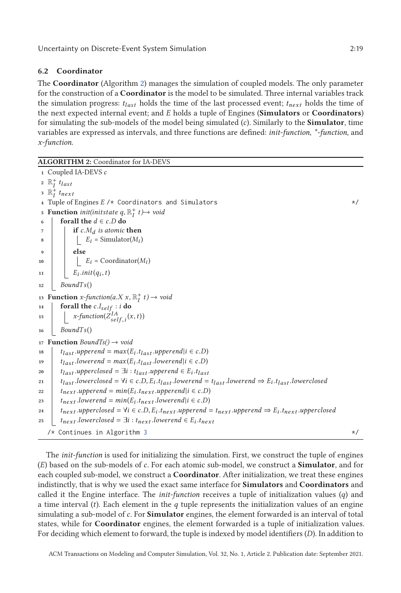# <span id="page-18-0"></span>**6.2 Coordinator**

The **Coordinator** (Algorithm 2) manages the simulation of coupled models. The only parameter for the construction of a **Coordinator** is the model to be simulated. Three internal variables track the simulation progress:  $t_{last}$  holds the time of the last processed event;  $t_{next}$  holds the time of the next expected internal event; and *E* holds a tuple of Engines (**Simulators** or **Coordinators**) for simulating the sub-models of the model being simulated (*c*). Similarly to the **Simulator**, time variables are expressed as intervals, and three functions are defined: *init-function*, *\*-function*, and *x-function*.

```
ALGORITHM 2: Coordinator for IA-DEVS
 1 Coupled IA-DEVS c
  2 \mathbb{R}^+_I t<sub>last</sub>
  3 \mathbb{R}^+ t<sub>next</sub>
 4 Tuple of Engines E /* Coordinators and Simulators */
  5 Function init(initstate q, \mathbb{R}^+_I t)\rightarrow void
 6 forall the d \in c.D do<br>z f c.M<sub>d</sub> is atomic
 \begin{array}{c|c} \n\hline\n\text{7} & \text{if } c.M_d \text{ is atomic then} \\
\hline\nB_i = \text{Simulator}(M_i)\n\end{array}E_i = \text{Simulator}(M_i)9 else
10 Ei = Coordinator(Mi )
11 \vert E_iinit(q_i,t)
12 BoundT s()
13 Function x-function(a.X x, \mathbb{R}_I^+ t) \rightarrow void<br>14 forall the c l i ti do
14 forall the c.I_{self}: i do<br>
\downarrow x\text{-function}(Z^{IA}_{1,0,0})15 \int x\text{-}function(\bar{Z}_{self,i}^{IA}(x,t))16 BoundT s()
17 Function BoundTs() → void
18 t t_{last}.upperend = max(E_i.t_{last}.upperend |i \in c.D)<br>19 t took .lowerend = max(E_i.t_{last}.lowerend |i \in c.D)19 t_{last} .lowerend = max(E_i, t_{last} .lowerend|i \in c.D)<br>
20 t_{test} .upperclosed = \exists i : t_{test}.upperend \in E_i.tract
20 t_{last}.upperclosed = \exists i : t_{last}.upperend \in E_i.t_{last}<br>
21 t_{last}.lowerclosed = \forall i \in c.D. E_i.t_{test}.lowerend =21 t_{last}.lowerclosed = \forall i \in c.D, E_i.t_{last}.lowerend = t_{last}.lowerend \Rightarrow E_i.t_{last}.lowerclosed<br>
t_{next}.upperend = min(E_i.t_{next}.upperend \forall i \in c.D)22 t_{next}.upperend = min(E_i.t_{next}.upperend |i \in c.D)<br>
23 t_{next}.lowerend = min(E_i.t_{next}.lowerend |i \in c.D)23 t_{next}.lowerend = min(E_i.t_{next}.lowerend | i \in c.D)<br>
24 t_{next}.upperclosed = \forall i \in c.D. E_i.t_{next}.upperend =t_{next}.upperclosed = \forall i \in c.D, E_i.t_{next}.upperend = t_{next}.upperend \Rightarrow E_i.t_{next}.upperclosed<br>
t_{next}.lowerclosed = \exists i : t_{next}.lowerend \in E_i.t_{next}.upperend25 tnext .lowerclosed = ∃i : tnext .lowerend ∈ Ei .tnext
    \frac{1}{x}3 \frac{x}{1-x}
```
The *init-function* is used for initializing the simulation. First, we construct the tuple of engines (*E*) based on the sub-models of *c*. For each atomic sub-model, we construct a **Simulator**, and for each coupled sub-model, we construct a **Coordinator**. After initialization, we treat these engines indistinctly, that is why we used the exact same interface for **Simulators** and **Coordinators** and called it the Engine interface. The *init-function* receives a tuple of initialization values (*q*) and a time interval (*t*). Each element in the *q* tuple represents the initialization values of an engine simulating a sub-model of*c*. For **Simulator** engines, the element forwarded is an interval of total states, while for **Coordinator** engines, the element forwarded is a tuple of initialization values. For deciding which element to forward, the tuple is indexed by model identifiers (*D*). In addition to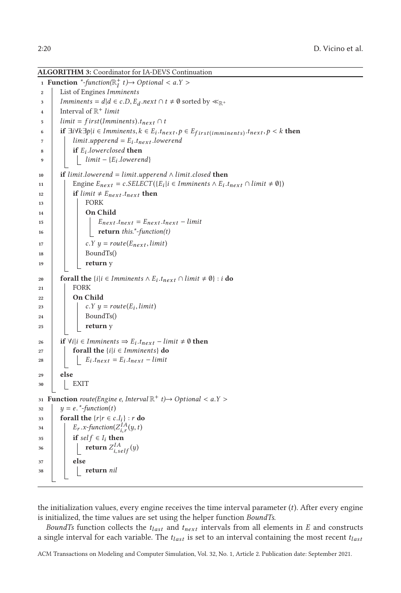<span id="page-19-0"></span>**ALGORITHM 3:** Coordinator for IA-DEVS Continuation

```
1 Function *-function(\mathbb{R}_I^+ t)\rightarrow Optional < a.Y >
 2 List of Engines Imminents
 3 Imminents = d/d \in c.D, E_d.next \cap t \neq \emptyset sorted by \ll_{\mathbb{R}^+}<br>Interval of \mathbb{R}^+ limit
              4 Interval of R+ limit
 5 \parallel limit = f irst(Imminents).t<sub>next</sub> ∩ t<br>6 if \exists i \forall k \exists \text{pl} i \in \text{Imminents}, k \in E; t<sub>n</sub>
 6 if \exists i \forall k \exists p | i \in \text{Imminents}, k \in E_i.t_{next}, p \in E_{first}(\text{imminents}) \cdot t_{next}, p \le k \text{ then}<br>
\exists i \text{ limit } \text{subp} \in E_i.t_{next}. \text{lower} \neq 07 \begin{array}{c} \n\mathbf{1} & \text{limit.} \n\text{upperend} = E_i \cdot \mathbf{1} \cdot \mathbf{1} \text{ lowerend}8 if E_i .lowerclosed then<br>i limit - \{E_i .lowerer
                             limit - {E<sub>i</sub>}.lowerend}10 if limit.lowerend = limit.upperend ∧ limit.closed then<br>
11 b Engine E_{next} = c.SELECT({E<sub>i</sub>|i ∈ Imminents ∧ E<sub>i</sub>.j
11 Engine E_{next} = c.SELECT({E_i | i \in Imminents \land E_i.t_{next} \cap limit \neq \emptyset})<br>
if limit ≠ E_{next}t<sub>next</sub> then
\begin{array}{|c|c|c|c|}\n\hline\n\textbf{12} & \textbf{if } \textit{limit} \neq E_{next} \cdot t_{next} \textbf{then} \\
\hline\n\textbf{13} & \textbf{FORK}\n\end{array}13 FORK
14 On Child
15 E<sub>next</sub> .t<sub>next</sub> = E<sub>next</sub> .t<sub>next</sub> – limit<br>16 eturn this *-function(t)
                                       16 return this.*-function(t)
\begin{array}{c|c} \n\hline\n\text{17} & \text{c.} \n\end{array} Y = \text{route}(E_{next}, limit)<br>
18 b c.Y y = \text{route}(E_{next}, limit)18 BoundTs()
19 return y
20 forall the \{i | i \in \text{Imminents} \land E_i \cdot t_{next} \cap \text{limit } \neq \emptyset\} : i \textbf{ do}21 FORK
22 On Child
\begin{array}{c|c} \n\text{23} & c.Y \text{ } y = route(E_i, limit) \\
\text{34} & \text{Boundary} \\
\end{array}24 BoundTs()
25 return y
26 i i i ∀i|i ∈ Imminents ⇒ E_i .t<sub>next</sub> − limit ≠ 0 then<br>27 i forall the {i|i ∈ Imminents} do
                      forall the \{i | i \in \text{Imminents}\} do
28 E<sub>i</sub> .t<sub>next</sub> = E_i .t<sub>next</sub> – limit</sub>
29 else
30 EXIT
31 Function \text{route}(\text{Engineering } e, \text{Interval } \mathbb{R}^+ \text{ } t) \rightarrow \text{Optional} < a.Y > 32 \downarrow \quad y = e, \text{*-function}(t)32 y = e^{x^2}-function(t)<br>33 forall the \{x | x \in c\}53 forall the \{r | r \in c.I_i\} : r do<br>F<sub>r</sub> x-function(Z_i^{\{A\}}(u,t)\begin{cases}\nE_r \cdot x \text{-} function(Z_{i,r}^{IA}(y, t)) \\
\text{if } \text{colf } \in I \text{, then}\n\end{cases}35 if self \in I_i then
\left\{\begin{array}{c} \mathbf{return } Z_{i, self}^{IA}(y) \end{array}\right\}37 else
38 return nil
```
the initialization values, every engine receives the time interval parameter (*t*). After every engine is initialized, the time values are set using the helper function *BoundTs*.

*BoundTs* function collects the *tlast* and *tnext* intervals from all elements in *E* and constructs a single interval for each variable. The *tlast* is set to an interval containing the most recent *tlast*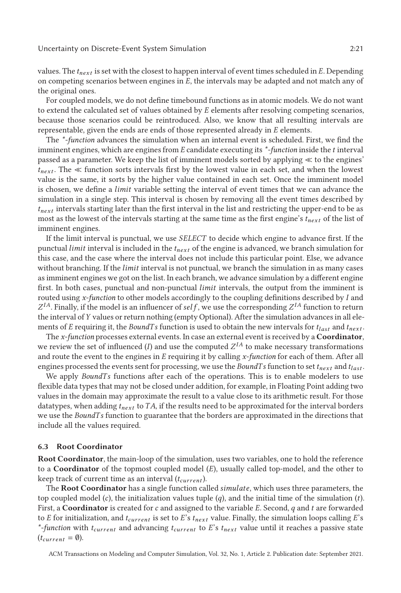For coupled models, we do not define timebound functions as in atomic models. We do not want to extend the calculated set of values obtained by *E* elements after resolving competing scenarios, because those scenarios could be reintroduced. Also, we know that all resulting intervals are representable, given the ends are ends of those represented already in *E* elements.

The *\*-function* advances the simulation when an internal event is scheduled. First, we find the imminent engines, which are engines from *E* candidate executing its *\*-function* inside the *t* interval passed as a parameter. We keep the list of imminent models sorted by applying  $\ll$  to the engines'  $t_{next}$ . The  $\ll$  function sorts intervals first by the lowest value in each set, and when the lowest value is the same, it sorts by the higher value contained in each set. Once the imminent model is chosen, we define a *limit* variable setting the interval of event times that we can advance the simulation in a single step. This interval is chosen by removing all the event times described by *tnext* intervals starting later than the first interval in the list and restricting the upper-end to be as most as the lowest of the intervals starting at the same time as the first engine's *tnext* of the list of imminent engines.

If the limit interval is punctual, we use *SELECT* to decide which engine to advance first. If the punctual *limit* interval is included in the *tnext* of the engine is advanced, we branch simulation for this case, and the case where the interval does not include this particular point. Else, we advance without branching. If the *limit* interval is not punctual, we branch the simulation in as many cases as imminent engines we got on the list. In each branch, we advance simulation by a different engine first. In both cases, punctual and non-punctual *limit* intervals, the output from the imminent is routed using *x-function* to other models accordingly to the coupling definitions described by *I* and  $Z^{I_4}$ . Finally, if the model is an influencer of *self*, we use the corresponding  $Z^{I_4}$  function to return the interval of*Y* values or return nothing (empty Optional). After the simulation advances in all elements of *E* requiring it, the *BoundTs* function is used to obtain the new intervals for  $t_{last}$  and  $t_{next}$ .

The *x-function* processes external events. In case an external event is received by a **Coordinator**, we review the set of influenced  $(I)$  and use the computed  $Z^{IA}$  to make necessary transformations and route the event to the engines in *E* requiring it by calling *x-function* for each of them. After all engines processed the events sent for processing, we use the *BoundTs* function to set  $t_{next}$  and  $t_{last}$ .

We apply *BoundTs* functions after each of the operations. This is to enable modelers to use flexible data types that may not be closed under addition, for example, in Floating Point adding two values in the domain may approximate the result to a value close to its arithmetic result. For those datatypes, when adding *tnext* to*TA*, if the results need to be approximated for the interval borders we use the *BoundT s* function to guarantee that the borders are approximated in the directions that include all the values required.

#### **6.3 Root Coordinator**

**Root Coordinator**, the main-loop of the simulation, uses two variables, one to hold the reference to a **Coordinator** of the topmost coupled model (*E*), usually called top-model, and the other to keep track of current time as an interval (*tcurrent* ).

The **Root Coordinator** has a single function called *simulate*, which uses three parameters, the top coupled model (*c*), the initialization values tuple (*q*), and the initial time of the simulation (*t*). First, a **Coordinator** is created for*c* and assigned to the variable *E*. Second, *q* and *t* are forwarded to *E* for initialization, and *tcurrent* is set to *E*'s *tnext* value. Finally, the simulation loops calling *E*'s *\*-function* with *tcurrent* and advancing *tcurrent* to *E*'s *tnext* value until it reaches a passive state  $(t_{current} = \emptyset).$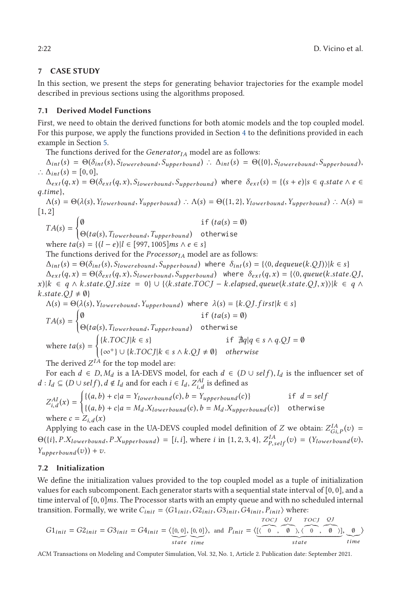# <span id="page-21-0"></span>**7 CASE STUDY**

In this section, we present the steps for generating behavior trajectories for the example model described in previous sections using the algorithms proposed.

## **7.1 Derived Model Functions**

First, we need to obtain the derived functions for both atomic models and the top coupled model. For this purpose, we apply the functions provided in Section [4](#page-10-0) to the definitions provided in each example in Section [5.](#page-14-0)

The functions derived for the *Generator<sub>IA</sub>* model are as follows:

 $\Delta_{int}(s) = \Theta(\delta_{int}(s), S_{lowerebound}, S_{upperbound})$  ∴  $\Delta_{int}(s) = \Theta(\{0\}, S_{lowerebound}, S_{upperbound})$ ,  $\therefore$   $\Delta_{int}(s) = [0, 0],$ 

 $\Delta_{ext}(q, x) = \Theta(\delta_{ext}(q, x), S_{lowerbound}, S_{upperbound})$  where  $\delta_{ext}(s) = \{(s + e)|s \in q. state \wedge e \in S_{\text{part}}\}$ *<sup>q</sup>*.*time*},

 $\Lambda(s) = \Theta(\lambda(s), Y_{lowerbound}, Y_{upperbound})$  ∴  $\Lambda(s) = \Theta(\{1, 2\}, Y_{lowerbound}, Y_{upperbound})$  ∴  $\Lambda(s) =$ [1, 2]

$$
TA(s) = \begin{cases} \emptyset & \text{if } (ta(s) = \emptyset) \\ \Theta(ta(s), T_{lowerbound}, T_{upperbound}) & \text{otherwise} \end{cases}
$$

where  $ta(s) = \{(l - e)| l \in [997, 1005] \text{ ms} \land e \in s\}$ <br>The functions derived for the *Processory*, mode

The functions derived for the *Processor<sub>IA</sub>* model are as follows:

 $\Delta_{int}(s) = \Theta(\delta_{int}(s), S_{lowerebound}, S_{upperbound})$  where  $\delta_{int}(s) = \{\langle 0, \text{dequeue}(k, QJ) \rangle | k \in s\}$ 

 $\Delta_{ext}(q, x) = \Theta(\delta_{ext}(q, x), S_{lowerbound}, S_{upperbound})$  where  $\delta_{ext}(q, x) = \{(0, queue(k.state.QJ,$  $x$ )| $k \in q \wedge k$ .state.QJ.size = 0}  $\cup$  { $\langle k$ .state.TOCJ – k.elapsed, queue(k.state.QJ, x))| $k \in q \wedge$  $k.state.QJ \neq \emptyset$ 

$$
\Lambda(s) = \Theta(\lambda(s), Y_{lowerebound}, Y_{upperbound}) \text{ where } \lambda(s) = \{k.QJ.first | k \in s\}
$$
\n
$$
TA(s) = \begin{cases} \n0 & \text{if } (ta(s) = 0) \\ \n\Theta(ta(s), T_{lowerbound}, T_{upperbound}) & \text{otherwise} \n\end{cases}
$$
\nwhere  $ta(s) = \begin{cases} \n\{k.TOCJ | k \in s\} & \text{if } \nexists q | q \in s \land q.QJ = 0 \\ \n\{\infty^+\} \cup \{k.TOCJ | k \in s \land k.QJ \neq 0\} & \text{otherwise} \n\end{cases}$ \nThe derived  $Z^{IA}$  for the top model are:

For each  $d \in D$ ,  $M_d$  is a IA-DEVS model, for each  $d \in (D \cup self)$ ,  $I_d$  is the influencer set of *d* : *I*<sup>*d*</sup> ⊆ (*D* ∪ *self*), *d* ∉ *I*<sup>*d*</sup> and for each *i* ∈ *I*<sup>*d*</sup>, *Z*<sup>*AI*</sup><sub>*d*</sub> is defined as

$$
Z_{i,d}^{AI}(x) = \begin{cases} \{(a,b) + c | a = Y_{lowerbound}(c), b = Y_{upperbound}(c)\} & \text{if } d = self \\ \{(a,b) + c | a = M_d.X_{lowerbound}(c), b = M_d.X_{upperbound}(c)\} & \text{otherwise} \end{cases}
$$

where  $c = Z_{i,d}(x)$ <br>Applying to each case in the UA-DEVS coupled model definition of *Z* we obtain:  $Z_{G_i,P}^{IA}(v) =$ <br> $(Z_i, P, Y_j, \ldots, P, Y_j, \ldots, P, Y_j, \ldots, P, Y_j, \ldots, P, Y_j, \ldots, P, Y_j, \ldots, P, Y_j, \ldots, P, Y_j, \ldots, Y_j, \ldots, Y_j, \ldots, Y_j, \ldots, Y_j, \ldots, Y_j, \$  $\Theta({i}, P.X_{lowerbound}, P.X_{upperbound}) = [i, i],$  where i in {1, 2, 3, 4},  $Z_{P, self}^{IA}(v) = (Y_{lowerbound}(v), Y_{1}, Y_{2}, Y_{2}, Y_{3}, Y_{4}, Y_{5}, Y_{6}, Y_{7}, Y_{8}, Y_{9}, Y_{10}, Y_{11}, Y_{12}, Y_{13}, Y_{14}, Y_{15}, Y_{16}, Y_{17}, Y_{18}, Y_{19}, Y_{10}, Y_{11}, Y_{12}, Y_{13}, Y_{14}, Y_{15}, Y_{16}, Y_{17}, Y_{18}, Y_{19}, Y_{10}, Y_{11$  $Y_{\mu\nu\rho\sigma\sigma}$ *z* $(v)$  + *v*.

## **7.2 Initialization**

We define the initialization values provided to the top coupled model as a tuple of initialization values for each subcomponent. Each generator starts with a sequential state interval of  $[0, 0]$ , and a time interval of [0, 0]*ms*. The Processor starts with an empty queue and with no scheduled internal transition. Formally, we write  $C_{init} = \langle G1_{init}, G2_{init}, G3_{init}, G4_{init}, P_{init} \rangle$  where:

$$
G1_{init} = G2_{init} = G3_{init} = G4_{init} = \langle [0, 0], [0, 0] \rangle, \text{ and } P_{init} = \langle \underbrace{[(0, 0), [0, 0], \dots, [0, 0]}_{state} \rangle, \underbrace{0, 0, 0, \dots, [0, 0]}_{state} \rangle, \underbrace{0, 0, \dots, [0, 0]}_{time}
$$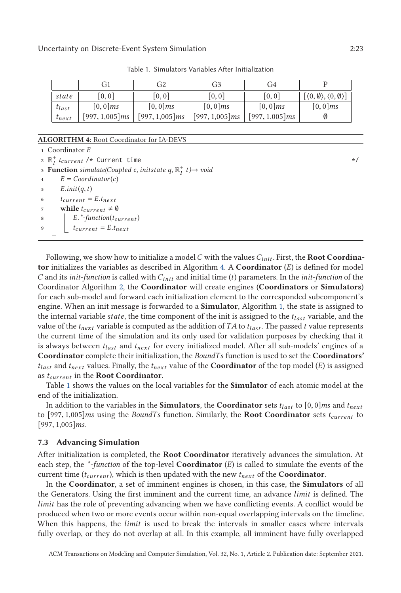| $[\langle 0, \emptyset \rangle, \langle 0, \emptyset \rangle]$<br>[0,0]<br>[0,0]<br>[0,0]<br>[0, 0]<br>state<br>$[0,0]$ ms<br>$[0,0]$ ms<br>$[0,0]$ ms<br>$[0,0]$ ms<br>$[0,0]$ ms<br>$t_{last}$ |                   | GI                | G2                | G3                | (i4               |  |
|--------------------------------------------------------------------------------------------------------------------------------------------------------------------------------------------------|-------------------|-------------------|-------------------|-------------------|-------------------|--|
|                                                                                                                                                                                                  |                   |                   |                   |                   |                   |  |
|                                                                                                                                                                                                  |                   |                   |                   |                   |                   |  |
|                                                                                                                                                                                                  | $t_{\text{next}}$ | $[997, 1,005]$ ms | $[997, 1,005]$ ms | $[997, 1,005]$ ms | $[997, 1.005]$ ms |  |

Table 1. Simulators Variables After Initialization

#### **ALGORITHM 4:** Root Coordinator for IA-DEVS

**<sup>1</sup>** Coordinator *E* 2  $\mathbb{R}^+_I$  *t*<sub>current</sub> /\* Current time  $\forall$ **3 Function**  $\mathit{simulate}(Coupled\ c,\ \mathit{initstate}\ q,\mathbb{R}_I^+\ t) \rightarrow \mathit{void}$ 4  $E = Coordinate(c)$  $\begin{aligned}\n\overline{\phantom{a}} &\phantom{a}5 &\phantom{a}E.init(q,t) \\
\overline{\phantom{a}} &\phantom{a}t_{current} \end{aligned}$  $\begin{array}{c} \n\text{6} \\
\text{7} \\
\text{while } t_{\text{current}} \neq \emptyset\n\end{array}$ *while*  $t_{current} \neq \emptyset$ 8  $\begin{array}{c} \n\text{B} \\
\text{B} \\
\text{f} \\
\text{f} \\
\text{f} \\
\text{f} \\
\text{f} \\
\text{f} \\
\text{f} \\
\text{f} \\
\text{f} \\
\text{f} \\
\text{f} \\
\text{f} \\
\text{f} \\
\text{f} \\
\text{f} \\
\text{f} \\
\text{f} \\
\text{f} \\
\text{f} \\
\text{f} \\
\text{f} \\
\text{f} \\
\text{f} \\
\text{f} \\
\text{f} \\
\text{f} \\
\text{f} \\
\text{f} \\
\text{f} \\
\text{f} \\
\text{f} \\
\text{f} \\
\text{f}$  $t_{current} = E.t_{next}$ 

Following, we show how to initialize a model*C* with the values*Cinit* . First, the **Root Coordinator** initializes the variables as described in Algorithm 4. A **Coordinator** (*E*) is defined for model *C* and its *init-function* is called with *Cinit* and initial time (*t*) parameters. In the *init-function* of the Coordinator Algorithm [2,](#page-18-0) the **Coordinator** will create engines (**Coordinators** or **Simulators**) for each sub-model and forward each initialization element to the corresponded subcomponent's engine. When an init message is forwarded to a **Simulator**, Algorithm [1,](#page-17-0) the state is assigned to the internal variable *state*, the time component of the init is assigned to the *tlast* variable, and the value of the  $t_{next}$  variable is computed as the addition of *TA* to  $t_{last}$ . The passed *t* value represents the current time of the simulation and its only used for validation purposes by checking that it is always between *tlast* and *tnext* for every initialized model. After all sub-models' engines of a **Coordinator** complete their initialization, the *BoundT s* function is used to set the **Coordinators'** *tlast* and *tnext* values. Finally, the *tnext* value of the **Coordinator** of the top model (*E*) is assigned as *tcurrent* in the **Root Coordinator**.

Table 1 shows the values on the local variables for the **Simulator** of each atomic model at the end of the initialization.

In addition to the variables in the **Simulators**, the **Coordinator** sets  $t_{last}$  to  $[0, 0]$ *ms* and  $t_{next}$ to [997, 1,005]*ms* using the *BoundT s* function. Similarly, the **Root Coordinator** sets *<sup>t</sup>current* to [997, 1,005]*ms*.

#### **7.3 Advancing Simulation**

After initialization is completed, the **Root Coordinator** iteratively advances the simulation. At each step, the *\*-function* of the top-level **Coordinator** (*E*) is called to simulate the events of the current time (*tcurrent* ), which is then updated with the new *tnext* of the **Coordinator**.

In the **Coordinator**, a set of imminent engines is chosen, in this case, the **Simulators** of all the Generators. Using the first imminent and the current time, an advance *limit* is defined. The *limit* has the role of preventing advancing when we have conflicting events. A conflict would be produced when two or more events occur within non-equal overlapping intervals on the timeline. When this happens, the *limit* is used to break the intervals in smaller cases where intervals fully overlap, or they do not overlap at all. In this example, all imminent have fully overlapped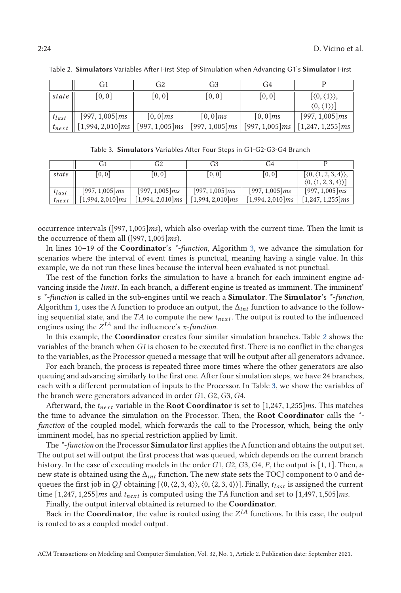|                   | Gil               | G2         | G3         | G4         |                                                                                                       |
|-------------------|-------------------|------------|------------|------------|-------------------------------------------------------------------------------------------------------|
| state             | [0,0]             | [0,0]      | [0,0]      | [0,0]      | $[\langle 0,\langle 1\rangle\rangle,$                                                                 |
|                   |                   |            |            |            | $\langle 0,\langle 1\rangle \rangle$                                                                  |
| $t_{last}$        | $[997, 1,005]$ ms | $[0,0]$ ms | $[0,0]$ ms | $[0,0]$ ms | $[997, 1,005]$ ms                                                                                     |
| $t_{\text{next}}$ |                   |            |            |            | $[1,994, 2,010]$ ms   $[997, 1,005]$ ms   $[997, 1,005]$ ms   $[997, 1,005]$ ms   $[1,247, 1,255]$ ms |

Table 2. **Simulators** Variables After First Step of Simulation when Advancing G1's **Simulator** First

Table 3. **Simulators** Variables After Four Steps in G1-G2-G3-G4 Branch

| [0,0]<br>[0, 0]<br>[0,0]<br>[0,0]<br>state<br>$[997, 1,005]$ ms<br>$[997, 1,005]$ ms<br>[997, 1,005] <i>ms</i><br>$[997, 1,005]$ ms<br>$t_{last}$ | ( † 1               | G <sub>2</sub>      | G3                  | G <sub>1</sub> 4    |                                                   |
|---------------------------------------------------------------------------------------------------------------------------------------------------|---------------------|---------------------|---------------------|---------------------|---------------------------------------------------|
|                                                                                                                                                   |                     |                     |                     |                     | $\langle 0, \langle 1, 2, 3, 4 \rangle \rangle$ , |
|                                                                                                                                                   |                     |                     |                     |                     | $\langle 0, \langle 1, 2, 3, 4 \rangle \rangle$   |
|                                                                                                                                                   |                     |                     |                     |                     | $[997, 1,005]$ ms                                 |
| $t_{\text{next}}$                                                                                                                                 | $[1,994, 2,010]$ ms | $[1,994, 2,010]$ ms | $[1,994, 2,010]$ ms | $[1,994, 2,010]$ ms | $[1,247, 1,255]$ ms                               |

occurrence intervals ([997, 1,005]*ms*), which also overlap with the current time. Then the limit is the occurrence of them all ([997, 1,005]*ms*).

In lines 10–19 of the **Coordinator**'s *\*-function*, Algorithm [3,](#page-19-0) we advance the simulation for scenarios where the interval of event times is punctual, meaning having a single value. In this example, we do not run these lines because the interval been evaluated is not punctual.

The rest of the function forks the simulation to have a branch for each imminent engine advancing inside the *limit*. In each branch, a different engine is treated as imminent. The imminent' s *\*-function* is called in the sub-engines until we reach a **Simulator**. The **Simulator**'s *\*-function*, Algorithm [1,](#page-17-0) uses the Λ function to produce an output, the Δ*int* function to advance to the following sequential state, and the *TA* to compute the new *tnext* . The output is routed to the influenced engines using the  $Z^{IA}$  and the influencee's *x*-function.

In this example, the **Coordinator** creates four similar simulation branches. Table 2 shows the variables of the branch when *G1* is chosen to be executed first. There is no conflict in the changes to the variables, as the Processor queued a message that will be output after all generators advance.

For each branch, the process is repeated three more times where the other generators are also queuing and advancing similarly to the first one. After four simulation steps, we have 24 branches, each with a different permutation of inputs to the Processor. In Table 3, we show the variables of the branch were generators advanced in order *G*1, *G*2, *G*3, *G*4.

Afterward, the *<sup>t</sup>next* variable in the **Root Coordinator** is set to [1,247, 1,255]*ms*. This matches the time to advance the simulation on the Processor. Then, the **Root Coordinator** calls the *\* function* of the coupled model, which forwards the call to the Processor, which, being the only imminent model, has no special restriction applied by limit.

The *\*-function* on the Processor **Simulator** first applies the Λ function and obtains the output set. The output set will output the first process that was queued, which depends on the current branch history. In the case of executing models in the order *<sup>G</sup>*1, *<sup>G</sup>*2, *<sup>G</sup>*3, *<sup>G</sup>*4, *<sup>P</sup>*, the output is [1, 1]. Then, a new state is obtained using the Δ*int* function. The new state sets the TOCJ component to 0 and dequeues the first job in *QJ* obtaining  $[\langle 0, \langle 2, 3, 4 \rangle \rangle, \langle 0, \langle 2, 3, 4 \rangle \rangle]$ . Finally,  $t_{last}$  is assigned the current time [1,247, 1,255]*ms* and *<sup>t</sup>next* is computed using the *TA* function and set to [1,497, 1,505]*ms*.

Finally, the output interval obtained is returned to the **Coordinator**.

Back in the **Coordinator**, the value is routed using the  $Z^{IA}$  functions. In this case, the output is routed to as a coupled model output.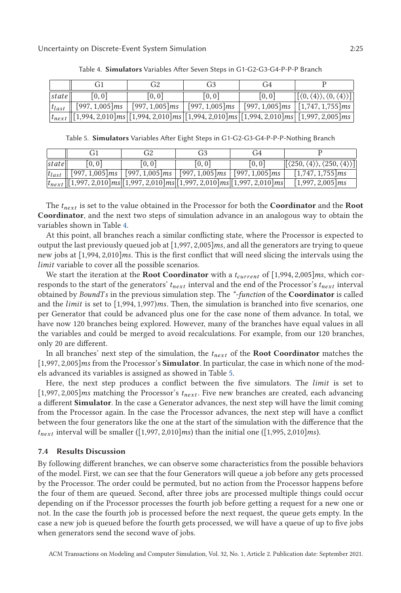|            | $\binom{1}{1}$    | G <sub>2</sub>    | G <sub>3</sub>         | ( † 4  |                                                                                                                        |
|------------|-------------------|-------------------|------------------------|--------|------------------------------------------------------------------------------------------------------------------------|
| state      | [0, 0]            | [0, 0]            | [0, 0]                 | [0, 0] | $[(0, \langle 4 \rangle), \langle 0, \langle 4 \rangle)]$                                                              |
| $t_{last}$ | $[997, 1,005]$ ms | $[997, 1,005]$ ms | [997, 1,005] <i>ms</i> |        | $\left  \right.$ [997, 1,005]ms $\left  \right.$ [1,747, 1,755]ms $\left  \right.$                                     |
|            |                   |                   |                        |        | $\frac{1}{n_{\text{text}}}$ [[1,994, 2,010]ms [[1,994, 2,010]ms [[1,994, 2,010]ms [[1,994, 2,010]ms [[1,997, 2,005]ms] |

Table 4. **Simulators** Variables After Seven Steps in G1-G2-G3-G4-P-P-P Branch

Table 5. **Simulators** Variables After Eight Steps in G1-G2-G3-G4-P-P-P-Nothing Branch

|            |                                                                                                                               | G <sub>2</sub>                                                                | G3    | (i4    |                                                               |
|------------|-------------------------------------------------------------------------------------------------------------------------------|-------------------------------------------------------------------------------|-------|--------|---------------------------------------------------------------|
| state      | [0, 0]                                                                                                                        | [0, 0]                                                                        | [0,0] | [0, 0] | $[(250, \langle 4 \rangle), \langle 250, \langle 4 \rangle)]$ |
| $t_{last}$ |                                                                                                                               | $[997, 1,005]$ ms   $[997, 1,005]$ ms   $[997, 1,005]$ ms   $[997, 1,005]$ ms |       |        | $[1,747, 1,755]$ ms                                           |
|            | $\frac{t_{next}[[1,997,2,010]ms][1,997,2,010]ms[[1,997,2,010]ms][1,997,2,010]ms]}{t_{next}[[1,997,2,010]ms[[1,997,2,010]ms]}$ |                                                                               |       |        | $[1,997, 2,005]$ ms                                           |
|            |                                                                                                                               |                                                                               |       |        |                                                               |

The *tnext* is set to the value obtained in the Processor for both the **Coordinator** and the **Root Coordinator**, and the next two steps of simulation advance in an analogous way to obtain the variables shown in Table 4.

At this point, all branches reach a similar conflicting state, where the Processor is expected to output the last previously queued job at [1,997, 2,005]*ms*, and all the generators are trying to queue new jobs at [1,994, 2,010]*ms*. This is the first conflict that will need slicing the intervals using the *limit* variable to cover all the possible scenarios.

We start the iteration at the **Root Coordinator** with a *<sup>t</sup>current* of [1,994, 2,005]*ms*, which corresponds to the start of the generators' *tnext* interval and the end of the Processor's *tnext* interval obtained by *BoundT s* in the previous simulation step. The *\*-function* of the **Coordinator** is called and the *limit* is set to [1,994, 1,997)*ms*. Then, the simulation is branched into five scenarios, one per Generator that could be advanced plus one for the case none of them advance. In total, we have now 120 branches being explored. However, many of the branches have equal values in all the variables and could be merged to avoid recalculations. For example, from our 120 branches, only 20 are different.

In all branches' next step of the simulation, the *tnext* of the **Root Coordinator** matches the [1,997, 2,005]*ms* from the Processor's **Simulator**. In particular, the case in which none of the models advanced its variables is assigned as showed in Table 5.

Here, the next step produces a conflict between the five simulators. The *limit* is set to [1,997, 2,005]*ms* matching the Processor's *<sup>t</sup>next* . Five new branches are created, each advancing a different **Simulator**. In the case a Generator advances, the next step will have the limit coming from the Processor again. In the case the Processor advances, the next step will have a conflict between the four generators like the one at the start of the simulation with the difference that the  $t_{next}$  interval will be smaller ([1,997, 2,010]*ms*) than the initial one ([1,995, 2,010]*ms*).

# **7.4 Results Discussion**

By following different branches, we can observe some characteristics from the possible behaviors of the model. First, we can see that the four Generators will queue a job before any gets processed by the Processor. The order could be permuted, but no action from the Processor happens before the four of them are queued. Second, after three jobs are processed multiple things could occur depending on if the Processor processes the fourth job before getting a request for a new one or not. In the case the fourth job is processed before the next request, the queue gets empty. In the case a new job is queued before the fourth gets processed, we will have a queue of up to five jobs when generators send the second wave of jobs.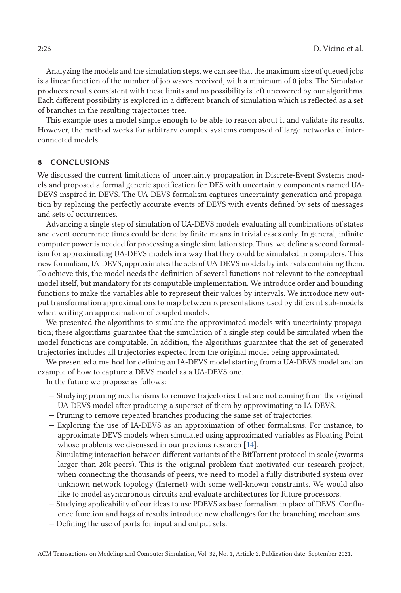<span id="page-25-0"></span>Analyzing the models and the simulation steps, we can see that the maximum size of queued jobs is a linear function of the number of job waves received, with a minimum of 0 jobs. The Simulator produces results consistent with these limits and no possibility is left uncovered by our algorithms. Each different possibility is explored in a different branch of simulation which is reflected as a set of branches in the resulting trajectories tree.

This example uses a model simple enough to be able to reason about it and validate its results. However, the method works for arbitrary complex systems composed of large networks of interconnected models.

# **8 CONCLUSIONS**

We discussed the current limitations of uncertainty propagation in Discrete-Event Systems models and proposed a formal generic specification for DES with uncertainty components named UA-DEVS inspired in DEVS. The UA-DEVS formalism captures uncertainty generation and propagation by replacing the perfectly accurate events of DEVS with events defined by sets of messages and sets of occurrences.

Advancing a single step of simulation of UA-DEVS models evaluating all combinations of states and event occurrence times could be done by finite means in trivial cases only. In general, infinite computer power is needed for processing a single simulation step. Thus, we define a second formalism for approximating UA-DEVS models in a way that they could be simulated in computers. This new formalism, IA-DEVS, approximates the sets of UA-DEVS models by intervals containing them. To achieve this, the model needs the definition of several functions not relevant to the conceptual model itself, but mandatory for its computable implementation. We introduce order and bounding functions to make the variables able to represent their values by intervals. We introduce new output transformation approximations to map between representations used by different sub-models when writing an approximation of coupled models.

We presented the algorithms to simulate the approximated models with uncertainty propagation; these algorithms guarantee that the simulation of a single step could be simulated when the model functions are computable. In addition, the algorithms guarantee that the set of generated trajectories includes all trajectories expected from the original model being approximated.

We presented a method for defining an IA-DEVS model starting from a UA-DEVS model and an example of how to capture a DEVS model as a UA-DEVS one.

In the future we propose as follows:

- Studying pruning mechanisms to remove trajectories that are not coming from the original UA-DEVS model after producing a superset of them by approximating to IA-DEVS.
- Pruning to remove repeated branches producing the same set of trajectories.
- Exploring the use of IA-DEVS as an approximation of other formalisms. For instance, to approximate DEVS models when simulated using approximated variables as Floating Point whose problems we discussed in our previous research [\[14\]](#page-26-0).
- Simulating interaction between different variants of the BitTorrent protocol in scale (swarms larger than 20k peers). This is the original problem that motivated our research project, when connecting the thousands of peers, we need to model a fully distributed system over unknown network topology (Internet) with some well-known constraints. We would also like to model asynchronous circuits and evaluate architectures for future processors.
- Studying applicability of our ideas to use PDEVS as base formalism in place of DEVS. Confluence function and bags of results introduce new challenges for the branching mechanisms.
- Defining the use of ports for input and output sets.